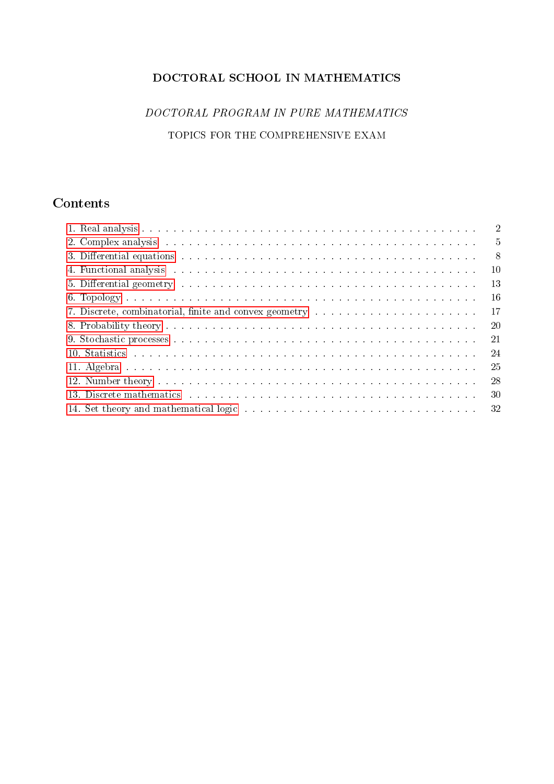# DOCTORAL SCHOOL IN MATHEMATICS

# DOCTORAL PROGRAM IN PURE MATHEMATICS TOPICS FOR THE COMPREHENSIVE EXAM

# Contents

| $\overline{2}$                                                                                                                                                                                                                                  |
|-------------------------------------------------------------------------------------------------------------------------------------------------------------------------------------------------------------------------------------------------|
| $\overline{5}$                                                                                                                                                                                                                                  |
| 3. Differential equations enterprise in the contract of the contract of the contract of the contract of the contract of the contract of the contract of the contract of the contract of the contract of the contract of the co<br>$-8$          |
| <sup>10</sup><br>4. Functional analysis experience in the contract of the contract of the contract of the contract of the contract of the contract of the contract of the contract of the contract of the contract of the contract of the contr |
| 13<br>5. Differential geometry enterprise in the contract of the contract of the contract of the contract of the contract of the contract of the contract of the contract of the contract of the contract of the contract of the con            |
| -16                                                                                                                                                                                                                                             |
| 17<br>7. Discrete, combinatorial, finite and convex geometry                                                                                                                                                                                    |
| 20                                                                                                                                                                                                                                              |
| 21                                                                                                                                                                                                                                              |
| -24                                                                                                                                                                                                                                             |
| 11. Algebra de conservado en conservado en conservado en conservado en conservado<br>-25                                                                                                                                                        |
| 28                                                                                                                                                                                                                                              |
| -30                                                                                                                                                                                                                                             |
| 14. Set theory and mathematical logic resonance and contain the set of the set of the set of the set of the set of the set of the set of the set of the set of the set of the set of the set of the set of the set of the set                   |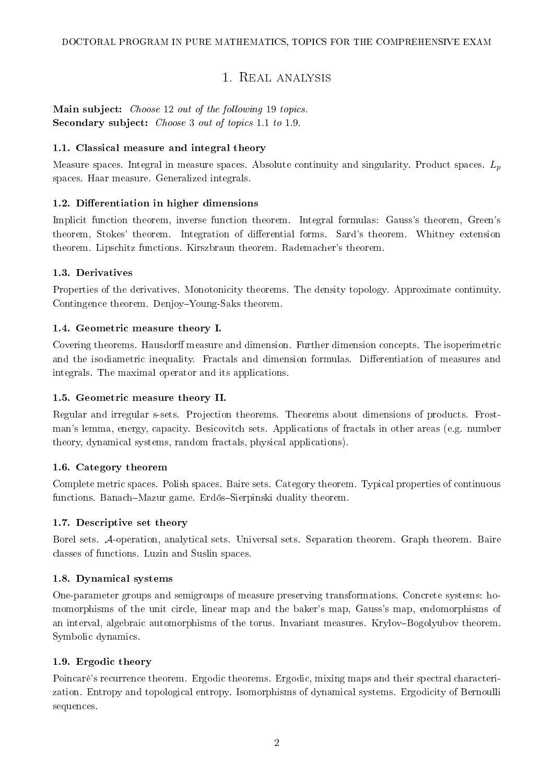# 1. Real analysis

# <span id="page-1-0"></span>Main subject: Choose 12 out of the following 19 topics. Secondary subject: *Choose* 3 *out of topics* 1.1 *to* 1.9.

### 1.1. Classical measure and integral theory

Measure spaces. Integral in measure spaces. Absolute continuity and singularity. Product spaces.  $L_p$ spaces. Haar measure. Generalized integrals.

### 1.2. Differentiation in higher dimensions

Implicit function theorem, inverse function theorem. Integral formulas: Gauss's theorem, Green's theorem, Stokes' theorem. Integration of differential forms. Sard's theorem. Whitney extension theorem. Lipschitz functions. Kirszbraun theorem. Rademacher's theorem.

### 1.3. Derivatives

Properties of the derivatives. Monotonicity theorems. The density topology. Approximate continuity. Contingence theorem. Denjoy-Young-Saks theorem.

### 1.4. Geometric measure theory I.

Covering theorems. Hausdorff measure and dimension. Further dimension concepts. The isoperimetric and the isodiametric inequality. Fractals and dimension formulas. Differentiation of measures and integrals. The maximal operator and its applications.

### 1.5. Geometric measure theory II.

Regular and irregular s-sets. Projection theorems. Theorems about dimensions of products. Frostman's lemma, energy, capacity. Besicovitch sets. Applications of fractals in other areas (e.g. number theory, dynamical systems, random fractals, physical applications).

### 1.6. Category theorem

Complete metric spaces. Polish spaces. Baire sets. Category theorem. Typical properties of continuous functions. Banach-Mazur game. Erdős-Sierpinski duality theorem.

### 1.7. Descriptive set theory

Borel sets. A-operation, analytical sets. Universal sets. Separation theorem. Graph theorem. Baire classes of functions. Luzin and Suslin spaces.

### 1.8. Dynamical systems

One-parameter groups and semigroups of measure preserving transformations. Concrete systems: homomorphisms of the unit circle, linear map and the baker's map, Gauss's map, endomorphisms of an interval, algebraic automorphisms of the torus. Invariant measures. Krylov-Bogolyubov theorem. Symbolic dynamics.

### 1.9. Ergodic theory

Poincaré's recurrence theorem. Ergodic theorems. Ergodic, mixing maps and their spectral characterization. Entropy and topological entropy. Isomorphisms of dynamical systems. Ergodicity of Bernoulli sequences.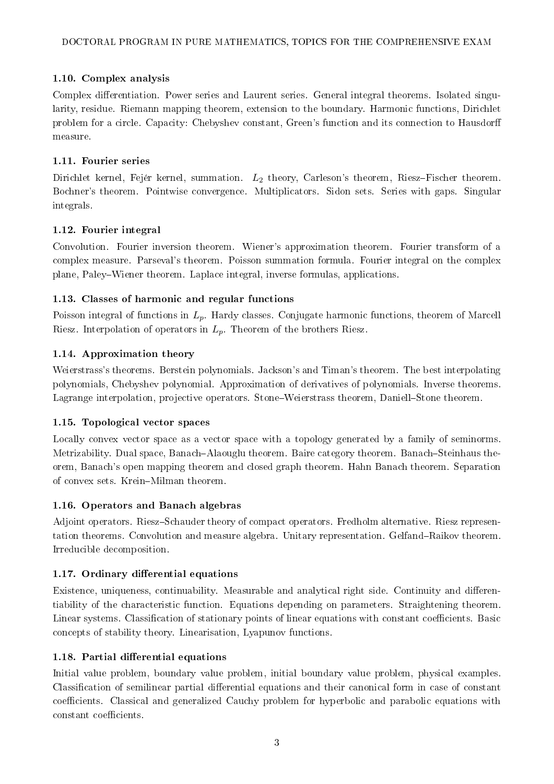### 1.10. Complex analysis

Complex differentiation. Power series and Laurent series. General integral theorems. Isolated singularity, residue. Riemann mapping theorem, extension to the boundary. Harmonic functions, Dirichlet problem for a circle. Capacity: Chebyshev constant, Green's function and its connection to Hausdor measure.

### 1.11. Fourier series

Dirichlet kernel, Fejér kernel, summation.  $L_2$  theory, Carleson's theorem, Riesz-Fischer theorem. Bochner's theorem. Pointwise convergence. Multiplicators. Sidon sets. Series with gaps. Singular integrals.

### 1.12. Fourier integral

Convolution. Fourier inversion theorem. Wiener's approximation theorem. Fourier transform of a complex measure. Parseval's theorem. Poisson summation formula. Fourier integral on the complex plane, PaleyWiener theorem. Laplace integral, inverse formulas, applications.

### 1.13. Classes of harmonic and regular functions

Poisson integral of functions in  $L_p$ . Hardy classes. Conjugate harmonic functions, theorem of Marcell Riesz. Interpolation of operators in  $L_p$ . Theorem of the brothers Riesz.

### 1.14. Approximation theory

Weierstrass's theorems. Berstein polynomials. Jackson's and Timan's theorem. The best interpolating polynomials, Chebyshev polynomial. Approximation of derivatives of polynomials. Inverse theorems. Lagrange interpolation, projective operators. Stone–Weierstrass theorem, Daniell–Stone theorem.

### 1.15. Topological vector spaces

Locally convex vector space as a vector space with a topology generated by a family of seminorms. Metrizability. Dual space, Banach-Alaouglu theorem. Baire category theorem. Banach-Steinhaus theorem, Banach's open mapping theorem and closed graph theorem. Hahn Banach theorem. Separation of convex sets. Krein-Milman theorem.

### 1.16. Operators and Banach algebras

Adjoint operators. Riesz-Schauder theory of compact operators. Fredholm alternative. Riesz representation theorems. Convolution and measure algebra. Unitary representation. Gelfand–Raikov theorem. Irreducible decomposition.

# 1.17. Ordinary differential equations

Existence, uniqueness, continuability. Measurable and analytical right side. Continuity and differentiability of the characteristic function. Equations depending on parameters. Straightening theorem. Linear systems. Classification of stationary points of linear equations with constant coefficients. Basic concepts of stability theory. Linearisation, Lyapunov functions.

### 1.18. Partial differential equations

Initial value problem, boundary value problem, initial boundary value problem, physical examples. Classification of semilinear partial differential equations and their canonical form in case of constant coefficients. Classical and generalized Cauchy problem for hyperbolic and parabolic equations with constant coefficients.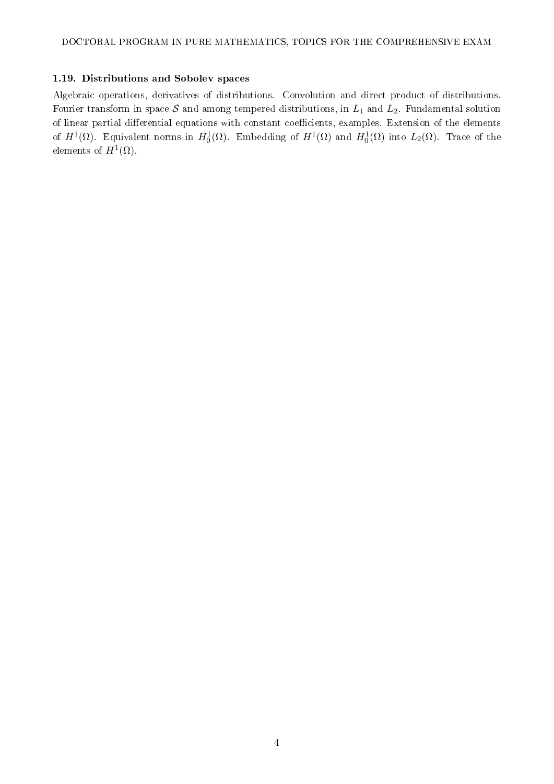### 1.19. Distributions and Sobolev spaces

Algebraic operations, derivatives of distributions. Convolution and direct product of distributions. Fourier transform in space  $S$  and among tempered distributions, in  $L_1$  and  $L_2$ . Fundamental solution of linear partial differential equations with constant coefficients, examples. Extension of the elements of  $H^1(\Omega)$ . Equivalent norms in  $H_0^1(\Omega)$ . Embedding of  $H^1(\Omega)$  and  $H_0^1(\Omega)$  into  $L_2(\Omega)$ . Trace of the elements of  $H^1(\Omega)$ .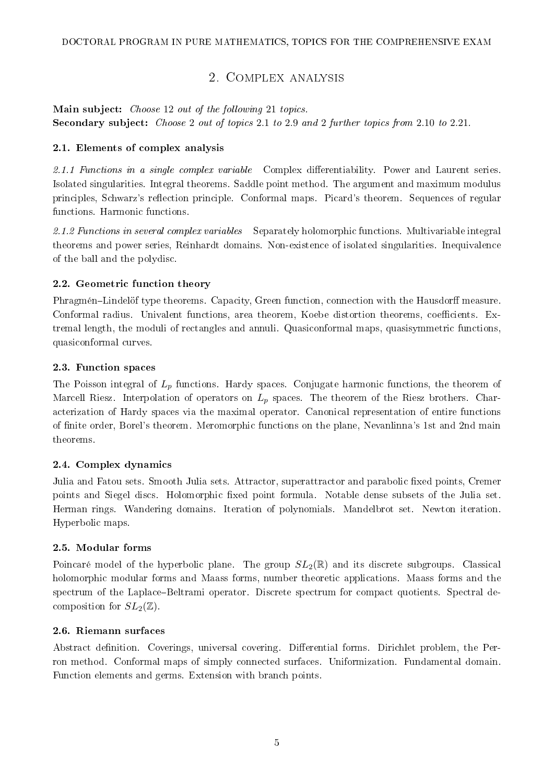# 2. Complex analysis

<span id="page-4-0"></span>Main subject: Choose 12 out of the following 21 topics. Secondary subject: Choose 2 out of topics 2.1 to 2.9 and 2 further topics from 2.10 to 2.21.

### 2.1. Elements of complex analysis

2.1.1 Functions in a single complex variable Complex differentiability. Power and Laurent series. Isolated singularities. Integral theorems. Saddle point method. The argument and maximum modulus principles, Schwarz's reflection principle. Conformal maps. Picard's theorem. Sequences of regular functions. Harmonic functions.

2.1.2 Functions in several complex variables Separately holomorphic functions. Multivariable integral theorems and power series, Reinhardt domains. Non-existence of isolated singularities. Inequivalence of the ball and the polydisc.

### 2.2. Geometric function theory

Phragmén–Lindelöf type theorems. Capacity, Green function, connection with the Hausdorff measure. Conformal radius. Univalent functions, area theorem, Koebe distortion theorems, coefficients. Extremal length, the moduli of rectangles and annuli. Quasiconformal maps, quasisymmetric functions, quasiconformal curves.

### 2.3. Function spaces

The Poisson integral of  $L_p$  functions. Hardy spaces. Conjugate harmonic functions, the theorem of Marcell Riesz. Interpolation of operators on  $L_p$  spaces. The theorem of the Riesz brothers. Characterization of Hardy spaces via the maximal operator. Canonical representation of entire functions of nite order, Borel's theorem. Meromorphic functions on the plane, Nevanlinna's 1st and 2nd main theorems.

# 2.4. Complex dynamics

Julia and Fatou sets. Smooth Julia sets. Attractor, superattractor and parabolic fixed points, Cremer points and Siegel discs. Holomorphic xed point formula. Notable dense subsets of the Julia set. Herman rings. Wandering domains. Iteration of polynomials. Mandelbrot set. Newton iteration. Hyperbolic maps.

### 2.5. Modular forms

Poincaré model of the hyperbolic plane. The group  $SL_2(\mathbb{R})$  and its discrete subgroups. Classical holomorphic modular forms and Maass forms, number theoretic applications. Maass forms and the spectrum of the Laplace-Beltrami operator. Discrete spectrum for compact quotients. Spectral decomposition for  $SL_2(\mathbb{Z})$ .

### 2.6. Riemann surfaces

Abstract definition. Coverings, universal covering. Differential forms. Dirichlet problem, the Perron method. Conformal maps of simply connected surfaces. Uniformization. Fundamental domain. Function elements and germs. Extension with branch points.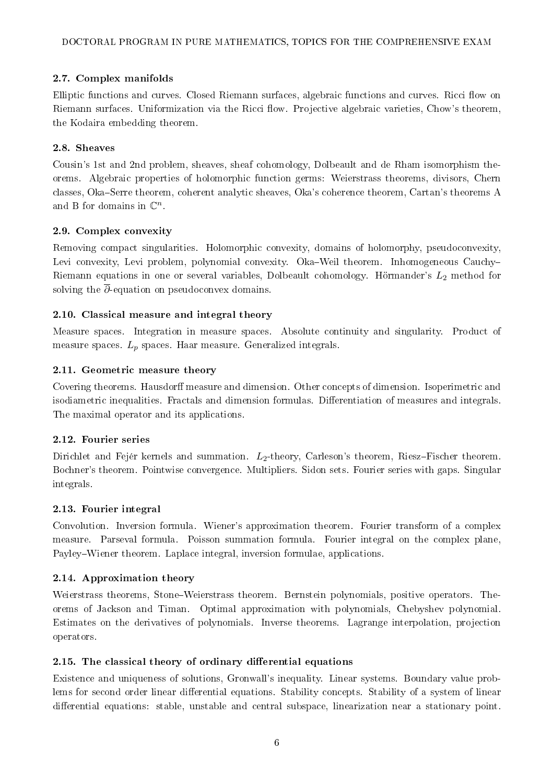### 2.7. Complex manifolds

Elliptic functions and curves. Closed Riemann surfaces, algebraic functions and curves. Ricci flow on Riemann surfaces. Uniformization via the Ricci flow. Projective algebraic varieties, Chow's theorem, the Kodaira embedding theorem.

### 2.8. Sheaves

Cousin's 1st and 2nd problem, sheaves, sheaf cohomology, Dolbeault and de Rham isomorphism theorems. Algebraic properties of holomorphic function germs: Weierstrass theorems, divisors, Chern classes, Oka–Serre theorem, coherent analytic sheaves, Oka's coherence theorem, Cartan's theorems A and B for domains in  $\mathbb{C}^n$ .

### 2.9. Complex convexity

Removing compact singularities. Holomorphic convexity, domains of holomorphy, pseudoconvexity, Levi convexity, Levi problem, polynomial convexity. Oka-Weil theorem. Inhomogeneous Cauchy-Riemann equations in one or several variables, Dolbeault cohomology. Hörmander's  $L_2$  method for solving the  $\overline{\partial}$ -equation on pseudoconvex domains.

### 2.10. Classical measure and integral theory

Measure spaces. Integration in measure spaces. Absolute continuity and singularity. Product of measure spaces.  $L_p$  spaces. Haar measure. Generalized integrals.

### 2.11. Geometric measure theory

Covering theorems. Hausdorff measure and dimension. Other concepts of dimension. Isoperimetric and isodiametric inequalities. Fractals and dimension formulas. Differentiation of measures and integrals. The maximal operator and its applications.

#### 2.12. Fourier series

Dirichlet and Fejér kernels and summation.  $L_2$ -theory, Carleson's theorem, Riesz-Fischer theorem. Bochner's theorem. Pointwise convergence. Multipliers. Sidon sets. Fourier series with gaps. Singular integrals.

#### 2.13. Fourier integral

Convolution. Inversion formula. Wiener's approximation theorem. Fourier transform of a complex measure. Parseval formula. Poisson summation formula. Fourier integral on the complex plane, Payley–Wiener theorem. Laplace integral, inversion formulae, applications.

### 2.14. Approximation theory

Weierstrass theorems, Stone-Weierstrass theorem. Bernstein polynomials, positive operators. Theorems of Jackson and Timan. Optimal approximation with polynomials, Chebyshev polynomial. Estimates on the derivatives of polynomials. Inverse theorems. Lagrange interpolation, projection operators.

### $2.15.$  The classical theory of ordinary differential equations

Existence and uniqueness of solutions, Gronwall's inequality. Linear systems. Boundary value problems for second order linear differential equations. Stability concepts. Stability of a system of linear differential equations: stable, unstable and central subspace, linearization near a stationary point.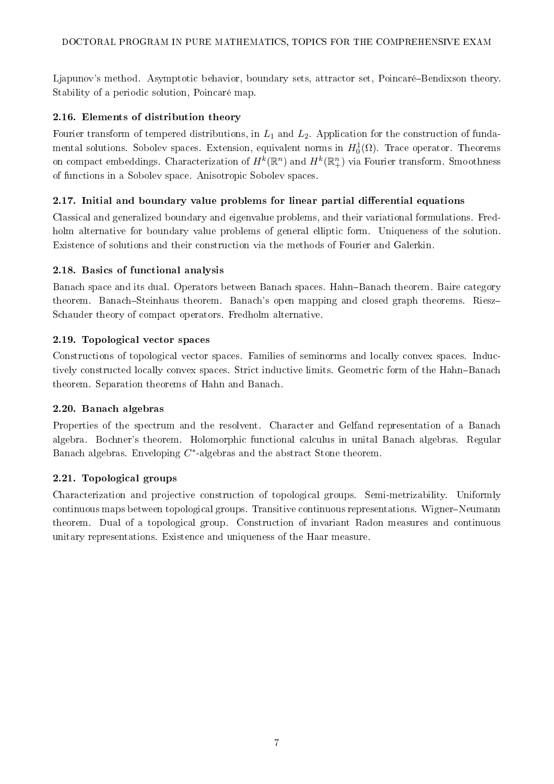Ljapunov's method. Asymptotic behavior, boundary sets, attractor set, Poincaré–Bendixson theory. Stability of a periodic solution, Poincaré map.

# 2.16. Elements of distribution theory

Fourier transform of tempered distributions, in  $L_1$  and  $L_2$ . Application for the construction of fundamental solutions. Sobolev spaces. Extension, equivalent norms in  $H_0^1(\Omega)$ . Trace operator. Theorems on compact embeddings. Characterization of  $H^k(\mathbb R^n)$  and  $H^k(\mathbb R^n_+)$  via Fourier transform. Smoothness of functions in a Sobolev space. Anisotropic Sobolev spaces.

# $2.17.$  Initial and boundary value problems for linear partial differential equations

Classical and generalized boundary and eigenvalue problems, and their variational formulations. Fredholm alternative for boundary value problems of general elliptic form. Uniqueness of the solution. Existence of solutions and their construction via the methods of Fourier and Galerkin.

# 2.18. Basics of functional analysis

Banach space and its dual. Operators between Banach spaces. Hahn-Banach theorem. Baire category theorem. Banach-Steinhaus theorem. Banach's open mapping and closed graph theorems. Riesz-Schauder theory of compact operators. Fredholm alternative.

# 2.19. Topological vector spaces

Constructions of topological vector spaces. Families of seminorms and locally convex spaces. Inductively constructed locally convex spaces. Strict inductive limits. Geometric form of the Hahn-Banach theorem. Separation theorems of Hahn and Banach.

# 2.20. Banach algebras

Properties of the spectrum and the resolvent. Character and Gelfand representation of a Banach algebra. Bochner's theorem. Holomorphic functional calculus in unital Banach algebras. Regular Banach algebras. Enveloping  $C^*$ -algebras and the abstract Stone theorem.

# 2.21. Topological groups

Characterization and projective construction of topological groups. Semi-metrizability. Uniformly continuous maps between topological groups. Transitive continuous representations. Wigner–Neumann theorem. Dual of a topological group. Construction of invariant Radon measures and continuous unitary representations. Existence and uniqueness of the Haar measure.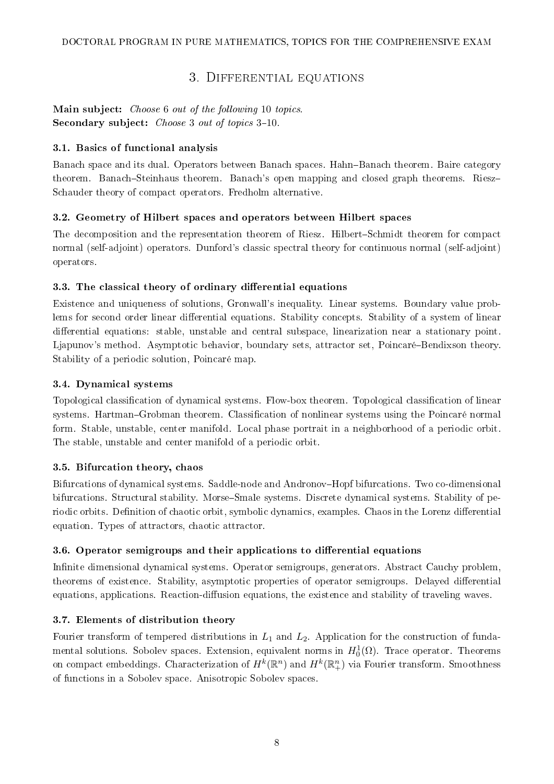# 3. Differential equations

<span id="page-7-0"></span>Main subject: Choose 6 out of the following 10 topics. Secondary subject: Choose 3 out of topics 3-10.

### 3.1. Basics of functional analysis

Banach space and its dual. Operators between Banach spaces. Hahn-Banach theorem. Baire category theorem. Banach-Steinhaus theorem. Banach's open mapping and closed graph theorems. Riesz-Schauder theory of compact operators. Fredholm alternative.

# 3.2. Geometry of Hilbert spaces and operators between Hilbert spaces

The decomposition and the representation theorem of Riesz. Hilbert-Schmidt theorem for compact normal (self-adjoint) operators. Dunford's classic spectral theory for continuous normal (self-adjoint) operators.

### 3.3. The classical theory of ordinary differential equations

Existence and uniqueness of solutions, Gronwall's inequality. Linear systems. Boundary value problems for second order linear differential equations. Stability concepts. Stability of a system of linear differential equations: stable, unstable and central subspace, linearization near a stationary point. Ljapunov's method. Asymptotic behavior, boundary sets, attractor set, Poincaré–Bendixson theory. Stability of a periodic solution, Poincaré map.

### 3.4. Dynamical systems

Topological classification of dynamical systems. Flow-box theorem. Topological classification of linear systems. Hartman-Grobman theorem. Classification of nonlinear systems using the Poincaré normal form. Stable, unstable, center manifold. Local phase portrait in a neighborhood of a periodic orbit. The stable, unstable and center manifold of a periodic orbit.

### 3.5. Bifurcation theory, chaos

Bifurcations of dynamical systems. Saddle-node and AndronovHopf bifurcations. Two co-dimensional bifurcations. Structural stability. Morse–Smale systems. Discrete dynamical systems. Stability of periodic orbits. Definition of chaotic orbit, symbolic dynamics, examples. Chaos in the Lorenz differential equation. Types of attractors, chaotic attractor.

### 3.6. Operator semigroups and their applications to differential equations

Infinite dimensional dynamical systems. Operator semigroups, generators. Abstract Cauchy problem, theorems of existence. Stability, asymptotic properties of operator semigroups. Delayed differential equations, applications. Reaction-diffusion equations, the existence and stability of traveling waves.

# 3.7. Elements of distribution theory

Fourier transform of tempered distributions in  $L_1$  and  $L_2$ . Application for the construction of fundamental solutions. Sobolev spaces. Extension, equivalent norms in  $H_0^1(\Omega)$ . Trace operator. Theorems on compact embeddings. Characterization of  $H^k(\mathbb R^n)$  and  $H^k(\mathbb R^n_+)$  via Fourier transform. Smoothness of functions in a Sobolev space. Anisotropic Sobolev spaces.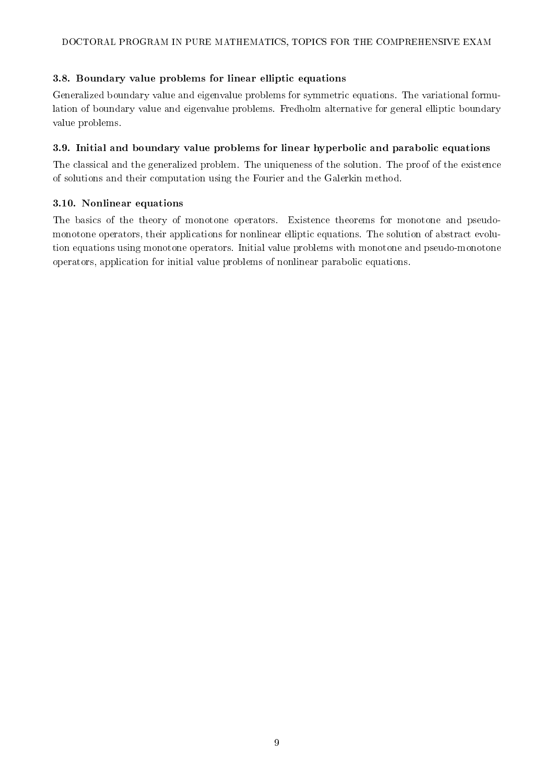### 3.8. Boundary value problems for linear elliptic equations

Generalized boundary value and eigenvalue problems for symmetric equations. The variational formulation of boundary value and eigenvalue problems. Fredholm alternative for general elliptic boundary value problems.

### 3.9. Initial and boundary value problems for linear hyperbolic and parabolic equations

The classical and the generalized problem. The uniqueness of the solution. The proof of the existence of solutions and their computation using the Fourier and the Galerkin method.

### 3.10. Nonlinear equations

The basics of the theory of monotone operators. Existence theorems for monotone and pseudomonotone operators, their applications for nonlinear elliptic equations. The solution of abstract evolution equations using monotone operators. Initial value problems with monotone and pseudo-monotone operators, application for initial value problems of nonlinear parabolic equations.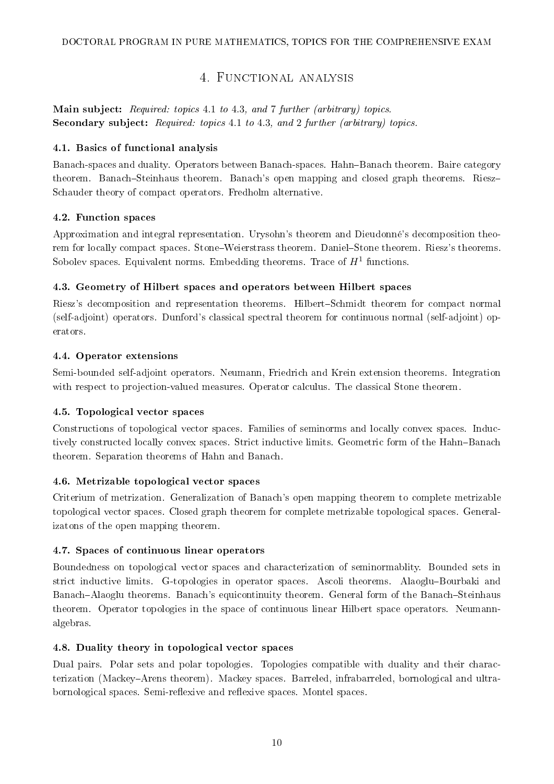# 4. FUNCTIONAL ANALYSIS

<span id="page-9-0"></span>Main subject: Required: topics 4.1 to 4.3, and 7 further (arbitrary) topics. Secondary subject: Required: topics 4.1 to 4.3, and 2 further (arbitrary) topics.

### 4.1. Basics of functional analysis

Banach-spaces and duality. Operators between Banach-spaces. Hahn-Banach theorem. Baire category theorem. Banach-Steinhaus theorem. Banach's open mapping and closed graph theorems. Riesz-Schauder theory of compact operators. Fredholm alternative.

### 4.2. Function spaces

Approximation and integral representation. Urysohn's theorem and Dieudonné's decomposition theorem for locally compact spaces. Stone–Weierstrass theorem. Daniel–Stone theorem. Riesz's theorems. Sobolev spaces. Equivalent norms. Embedding theorems. Trace of  $H^1$  functions.

### 4.3. Geometry of Hilbert spaces and operators between Hilbert spaces

Riesz's decomposition and representation theorems. Hilbert-Schmidt theorem for compact normal (self-adjoint) operators. Dunford's classical spectral theorem for continuous normal (self-adjoint) operators.

### 4.4. Operator extensions

Semi-bounded self-adjoint operators. Neumann, Friedrich and Krein extension theorems. Integration with respect to projection-valued measures. Operator calculus. The classical Stone theorem.

### 4.5. Topological vector spaces

Constructions of topological vector spaces. Families of seminorms and locally convex spaces. Inductively constructed locally convex spaces. Strict inductive limits. Geometric form of the Hahn-Banach theorem. Separation theorems of Hahn and Banach.

### 4.6. Metrizable topological vector spaces

Criterium of metrization. Generalization of Banach's open mapping theorem to complete metrizable topological vector spaces. Closed graph theorem for complete metrizable topological spaces. Generalizatons of the open mapping theorem.

### 4.7. Spaces of continuous linear operators

Boundedness on topological vector spaces and characterization of seminormablity. Bounded sets in strict inductive limits. G-topologies in operator spaces. Ascoli theorems. Alaoglu-Bourbaki and Banach-Alaoglu theorems. Banach's equicontinuity theorem. General form of the Banach-Steinhaus theorem. Operator topologies in the space of continuous linear Hilbert space operators. Neumannalgebras.

### 4.8. Duality theory in topological vector spaces

Dual pairs. Polar sets and polar topologies. Topologies compatible with duality and their characterization (MackeyArens theorem). Mackey spaces. Barreled, infrabarreled, bornological and ultrabornological spaces. Semi-reflexive and reflexive spaces. Montel spaces.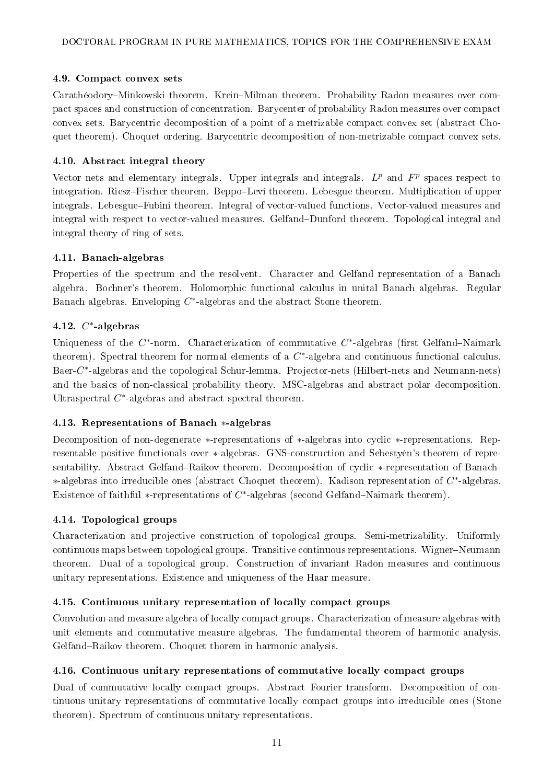### 4.9. Compact convex sets

Carathéodory-Minkowski theorem. Krein-Milman theorem. Probability Radon measures over compact spaces and construction of concentration. Barycenter of probability Radon measures over compact convex sets. Barycentric decomposition of a point of a metrizable compact convex set (abstract Choquet theorem). Choquet ordering. Barycentric decomposition of non-metrizable compact convex sets.

### 4.10. Abstract integral theory

Vector nets and elementary integrals. Upper integrals and integrals.  $L^p$  and  $F^p$  spaces respect to integration. Riesz-Fischer theorem. Beppo-Levi theorem. Lebesgue theorem. Multiplication of upper integrals. Lebesgue–Fubini theorem. Integral of vector-valued functions. Vector-valued measures and integral with respect to vector-valued measures. Gelfand-Dunford theorem. Topological integral and integral theory of ring of sets.

### 4.11. Banach-algebras

Properties of the spectrum and the resolvent. Character and Gelfand representation of a Banach algebra. Bochner's theorem. Holomorphic functional calculus in unital Banach algebras. Regular Banach algebras. Enveloping  $C^*$ -algebras and the abstract Stone theorem.

### $4.12. C^*$ -algebras

Uniqueness of the  $C^*$ -norm. Characterization of commutative  $C^*$ -algebras (first Gelfand–Naimark theorem). Spectral theorem for normal elements of a  $C^*$ -algebra and continuous functional calculus. Baer-C<sup>\*</sup>-algebras and the topological Schur-lemma. Projector-nets (Hilbert-nets and Neumann-nets) and the basics of non-classical probability theory. MSC-algebras and abstract polar decomposition. Ultraspectral  $C^*$ -algebras and abstract spectral theorem.

#### 4.13. Representations of Banach ∗-algebras

Decomposition of non-degenerate ∗-representations of ∗-algebras into cyclic ∗-representations. Representable positive functionals over ∗-algebras. GNS-construction and Sebestyén's theorem of representability. Abstract Gelfand–Raikov theorem. Decomposition of cyclic ∗-representation of Banach-∗-algebras into irreducible ones (abstract Choquet theorem). Kadison representation of C ∗ -algebras. Existence of faithful  $*$ -representations of  $C^*$ -algebras (second Gelfand–Naimark theorem).

### 4.14. Topological groups

Characterization and projective construction of topological groups. Semi-metrizability. Uniformly continuous maps between topological groups. Transitive continuous representations. Wigner–Neumann theorem. Dual of a topological group. Construction of invariant Radon measures and continuous unitary representations. Existence and uniqueness of the Haar measure.

### 4.15. Continuous unitary representation of locally compact groups

Convolution and measure algebra of locally compact groups. Characterization of measure algebras with unit elements and commutative measure algebras. The fundamental theorem of harmonic analysis. Gelfand-Raikov theorem. Choquet thorem in harmonic analysis.

#### 4.16. Continuous unitary representations of commutative locally compact groups

Dual of commutative locally compact groups. Abstract Fourier transform. Decomposition of continuous unitary representations of commutative locally compact groups into irreducible ones (Stone theorem). Spectrum of continuous unitary representations.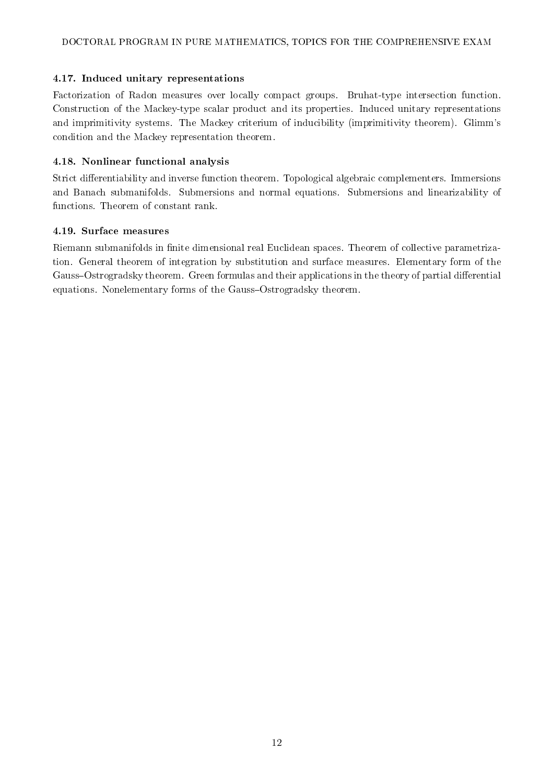### 4.17. Induced unitary representations

Factorization of Radon measures over locally compact groups. Bruhat-type intersection function. Construction of the Mackey-type scalar product and its properties. Induced unitary representations and imprimitivity systems. The Mackey criterium of inducibility (imprimitivity theorem). Glimm's condition and the Mackey representation theorem.

### 4.18. Nonlinear functional analysis

Strict differentiability and inverse function theorem. Topological algebraic complementers. Immersions and Banach submanifolds. Submersions and normal equations. Submersions and linearizability of functions. Theorem of constant rank.

#### 4.19. Surface measures

Riemann submanifolds in finite dimensional real Euclidean spaces. Theorem of collective parametrization. General theorem of integration by substitution and surface measures. Elementary form of the Gauss–Ostrogradsky theorem. Green formulas and their applications in the theory of partial differential equations. Nonelementary forms of the Gauss-Ostrogradsky theorem.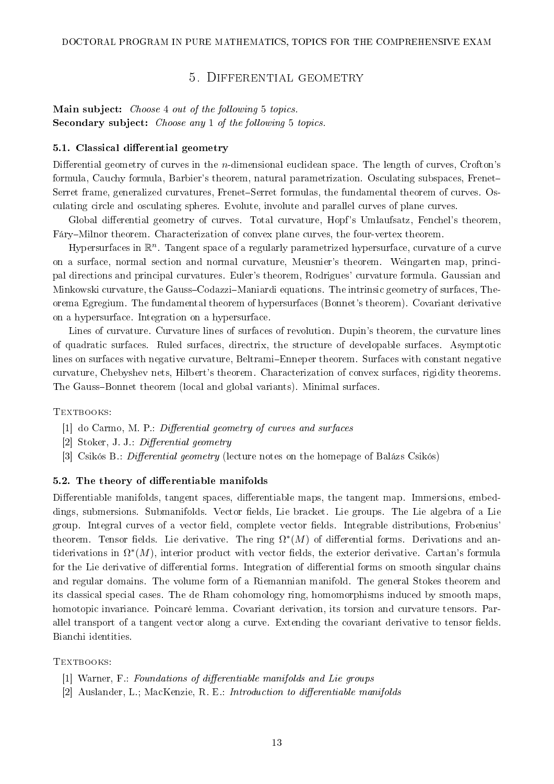### 5. Differential geometry

### <span id="page-12-0"></span>Main subject: Choose 4 out of the following 5 topics. Secondary subject: Choose any 1 of the following 5 topics.

#### 5.1. Classical differential geometry

Differential geometry of curves in the *n*-dimensional euclidean space. The length of curves, Crofton's formula, Cauchy formula, Barbier's theorem, natural parametrization. Osculating subspaces, Frenet Serret frame, generalized curvatures, Frenet–Serret formulas, the fundamental theorem of curves. Osculating circle and osculating spheres. Evolute, involute and parallel curves of plane curves.

Global differential geometry of curves. Total curvature, Hopf's Umlaufsatz, Fenchel's theorem. Fáry-Milnor theorem. Characterization of convex plane curves, the four-vertex theorem.

Hypersurfaces in  $\mathbb{R}^n$ . Tangent space of a regularly parametrized hypersurface, curvature of a curve on a surface, normal section and normal curvature, Meusnier's theorem. Weingarten map, principal directions and principal curvatures. Euler's theorem, Rodrigues' curvature formula. Gaussian and Minkowski curvature, the Gauss-Codazzi-Maniardi equations. The intrinsic geometry of surfaces, Theorema Egregium. The fundamental theorem of hypersurfaces (Bonnet's theorem). Covariant derivative on a hypersurface. Integration on a hypersurface.

Lines of curvature. Curvature lines of surfaces of revolution. Dupin's theorem, the curvature lines of quadratic surfaces. Ruled surfaces, directrix, the structure of developable surfaces. Asymptotic lines on surfaces with negative curvature, Beltrami–Enneper theorem. Surfaces with constant negative curvature, Chebyshev nets, Hilbert's theorem. Characterization of convex surfaces, rigidity theorems. The Gauss-Bonnet theorem (local and global variants). Minimal surfaces.

TEXTBOOKS:

- $[1]$  do Carmo, M. P.: Differential geometry of curves and surfaces
- [2] Stoker, J. J.: Differential geometry
- [3] Csikós B.: *Differential geometry* (lecture notes on the homepage of Balázs Csikós)

#### 5.2. The theory of differentiable manifolds

Differentiable manifolds, tangent spaces, differentiable maps, the tangent map. Immersions, embeddings, submersions. Submanifolds. Vector fields, Lie bracket. Lie groups. The Lie algebra of a Lie group. Integral curves of a vector field, complete vector fields. Integrable distributions, Frobenius' theorem. Tensor fields. Lie derivative. The ring  $\Omega^*(M)$  of differential forms. Derivations and antiderivations in  $\Omega^*(M)$ , interior product with vector fields, the exterior derivative. Cartan's formula for the Lie derivative of differential forms. Integration of differential forms on smooth singular chains and regular domains. The volume form of a Riemannian manifold. The general Stokes theorem and its classical special cases. The de Rham cohomology ring, homomorphisms induced by smooth maps, homotopic invariance. Poincaré lemma. Covariant derivation, its torsion and curvature tensors. Parallel transport of a tangent vector along a curve. Extending the covariant derivative to tensor fields. Bianchi identities.

- [1] Warner, F.: Foundations of differentiable manifolds and Lie groups
- [2] Auslander, L.; MacKenzie, R. E.: *Introduction to differentiable manifolds*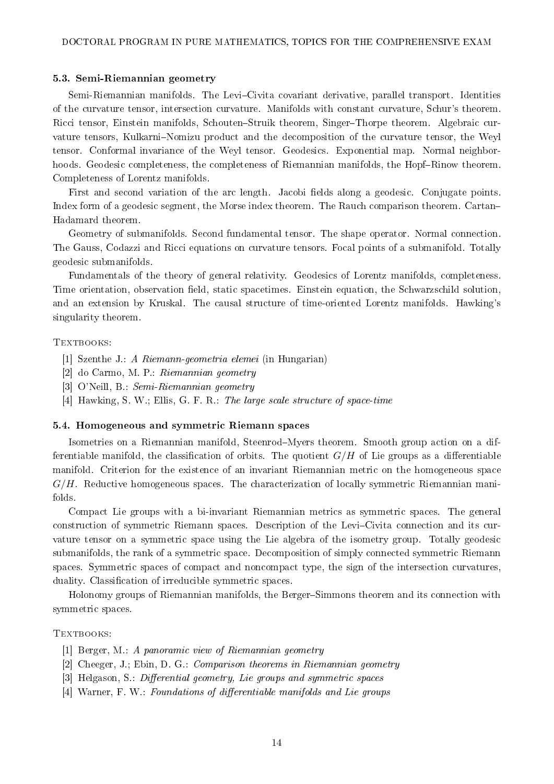#### 5.3. Semi-Riemannian geometry

Semi-Riemannian manifolds. The Levi-Civita covariant derivative, parallel transport. Identities of the curvature tensor, intersection curvature. Manifolds with constant curvature, Schur's theorem. Ricci tensor, Einstein manifolds, Schouten-Struik theorem, Singer-Thorpe theorem. Algebraic curvature tensors, Kulkarni-Nomizu product and the decomposition of the curvature tensor, the Weyl tensor. Conformal invariance of the Weyl tensor. Geodesics. Exponential map. Normal neighborhoods. Geodesic completeness, the completeness of Riemannian manifolds, the Hopf-Rinow theorem. Completeness of Lorentz manifolds.

First and second variation of the arc length. Jacobi fields along a geodesic. Conjugate points. Index form of a geodesic segment, the Morse index theorem. The Rauch comparison theorem. Cartan Hadamard theorem.

Geometry of submanifolds. Second fundamental tensor. The shape operator. Normal connection. The Gauss, Codazzi and Ricci equations on curvature tensors. Focal points of a submanifold. Totally geodesic submanifolds.

Fundamentals of the theory of general relativity. Geodesics of Lorentz manifolds, completeness. Time orientation, observation field, static spacetimes. Einstein equation, the Schwarzschild solution. and an extension by Kruskal. The causal structure of time-oriented Lorentz manifolds. Hawking's singularity theorem.

#### TEXTBOOKS:

- [1] Szenthe J.: A Riemann-geometria elemei (in Hungarian)
- [2] do Carmo, M. P.: Riemannian geometry
- [3] O'Neill, B.: Semi-Riemannian geometry
- [4] Hawking, S. W.; Ellis, G. F. R.: The large scale structure of space-time

#### 5.4. Homogeneous and symmetric Riemann spaces

Isometries on a Riemannian manifold, Steenrod–Myers theorem. Smooth group action on a differentiable manifold, the classification of orbits. The quotient  $G/H$  of Lie groups as a differentiable manifold. Criterion for the existence of an invariant Riemannian metric on the homogeneous space  $G/H$ . Reductive homogeneous spaces. The characterization of locally symmetric Riemannian manifolds.

Compact Lie groups with a bi-invariant Riemannian metrics as symmetric spaces. The general construction of symmetric Riemann spaces. Description of the Levi-Civita connection and its curvature tensor on a symmetric space using the Lie algebra of the isometry group. Totally geodesic submanifolds, the rank of a symmetric space. Decomposition of simply connected symmetric Riemann spaces. Symmetric spaces of compact and noncompact type, the sign of the intersection curvatures, duality. Classification of irreducible symmetric spaces.

Holonomy groups of Riemannian manifolds, the Berger-Simmons theorem and its connection with symmetric spaces.

- [1] Berger, M.: A panoramic view of Riemannian geometry
- [2] Cheeger, J.; Ebin, D. G.: Comparison theorems in Riemannian geometry
- [3] Helgason, S.: Differential geometry, Lie groups and symmetric spaces
- [4] Warner, F. W.: Foundations of differentiable manifolds and Lie groups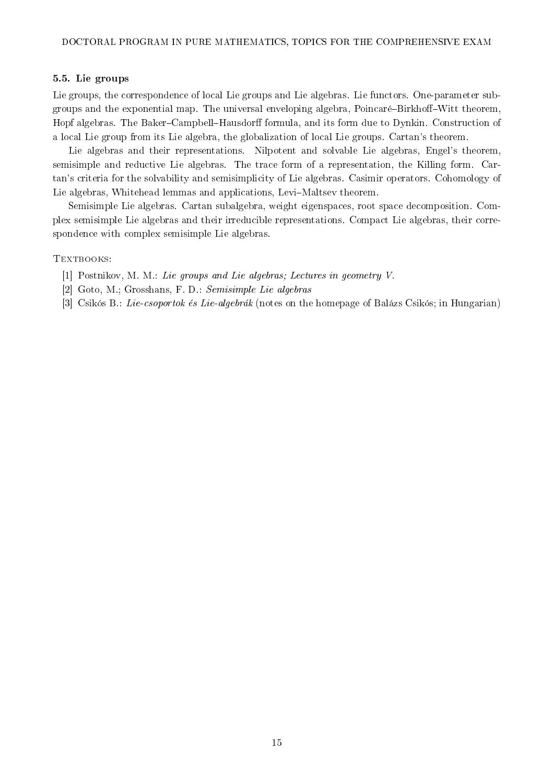#### 5.5. Lie groups

Lie groups, the correspondence of local Lie groups and Lie algebras. Lie functors. One-parameter subgroups and the exponential map. The universal enveloping algebra, Poincaré-Birkhoff-Witt theorem. Hopf algebras. The Baker–Campbell–Hausdorff formula, and its form due to Dynkin. Construction of a local Lie group from its Lie algebra, the globalization of local Lie groups. Cartan's theorem.

Lie algebras and their representations. Nilpotent and solvable Lie algebras, Engel's theorem, semisimple and reductive Lie algebras. The trace form of a representation, the Killing form. Cartan's criteria for the solvability and semisimplicity of Lie algebras. Casimir operators. Cohomology of Lie algebras, Whitehead lemmas and applications, Levi-Maltsev theorem.

Semisimple Lie algebras. Cartan subalgebra, weight eigenspaces, root space decomposition. Complex semisimple Lie algebras and their irreducible representations. Compact Lie algebras, their correspondence with complex semisimple Lie algebras.

- [1] Postnikov, M. M.: Lie groups and Lie algebras; Lectures in geometry V.
- [2] Goto, M.; Grosshans, F. D.: Semisimple Lie algebras
- [3] Csikós B.: Lie-csoportok és Lie-algebrák (notes on the homepage of Balázs Csikós; in Hungarian)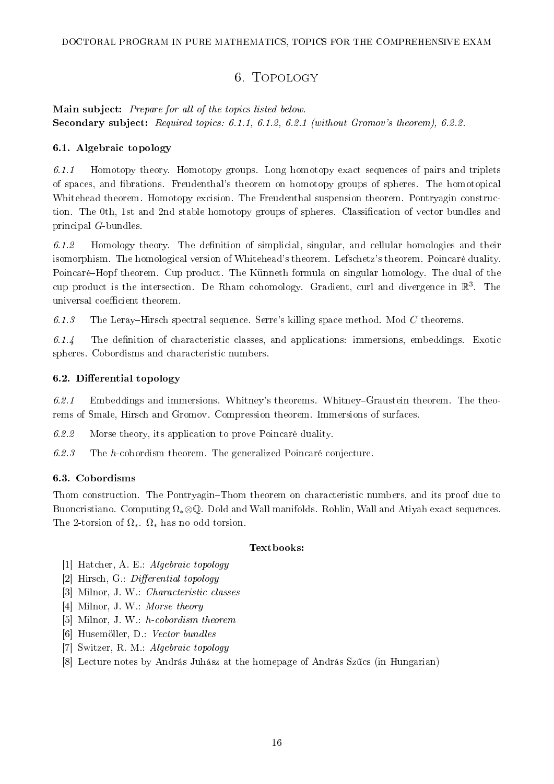# 6. Topology

# <span id="page-15-0"></span>Main subject: Prepare for all of the topics listed below. Secondary subject: Required topics: 6.1.1, 6.1.2, 6.2.1 (without Gromov's theorem), 6.2.2.

### 6.1. Algebraic topology

 $6.1.1$  Homotopy theory. Homotopy groups. Long homotopy exact sequences of pairs and triplets of spaces, and brations. Freudenthal's theorem on homotopy groups of spheres. The homotopical Whitehead theorem. Homotopy excision. The Freudenthal suspension theorem. Pontryagin construction. The 0th, 1st and 2nd stable homotopy groups of spheres. Classification of vector bundles and principal G-bundles.

 $6.1.2$  Homology theory. The definition of simplicial, singular, and cellular homologies and their isomorphism. The homological version of Whitehead's theorem. Lefschetz's theorem. Poincaré duality. Poincaré–Hopf theorem. Cup product. The Künneth formula on singular homology. The dual of the cup product is the intersection. De Rham cohomology. Gradient, curl and divergence in  $\mathbb{R}^3$ . The universal coefficient theorem.

6.1.3 The Leray–Hirsch spectral sequence. Serre's killing space method. Mod  $C$  theorems.

 $6.1.4$  The definition of characteristic classes, and applications: immersions, embeddings. Exotic spheres. Cobordisms and characteristic numbers.

### 6.2. Differential topology

 $6.2.1$  Embeddings and immersions. Whitney's theorems. Whitney-Graustein theorem. The theorems of Smale, Hirsch and Gromov. Compression theorem. Immersions of surfaces.

6.2.2 Morse theory, its application to prove Poincaré duality.

6.2.3 The h-cobordism theorem. The generalized Poincaré conjecture.

### 6.3. Cobordisms

Thom construction. The Pontryagin–Thom theorem on characteristic numbers, and its proof due to Buoncristiano. Computing  $\Omega_*\otimes\mathbb{O}$ . Dold and Wall manifolds. Rohlin, Wall and Atiyah exact sequences. The 2-torsion of  $\Omega_*$ .  $\Omega_*$  has no odd torsion.

### Textbooks:

- [1] Hatcher, A. E.: Algebraic topology
- $[2]$  Hirsch, G.: Differential topology
- [3] Milnor, J. W.: Characteristic classes
- [4] Milnor, J. W.: Morse theory
- [5] Milnor, J. W.: h-cobordism theorem
- [6] Husemöller, D.: Vector bundles
- [7] Switzer, R. M.: Algebraic topology
- [8] Lecture notes by András Juhász at the homepage of András Szűcs (in Hungarian)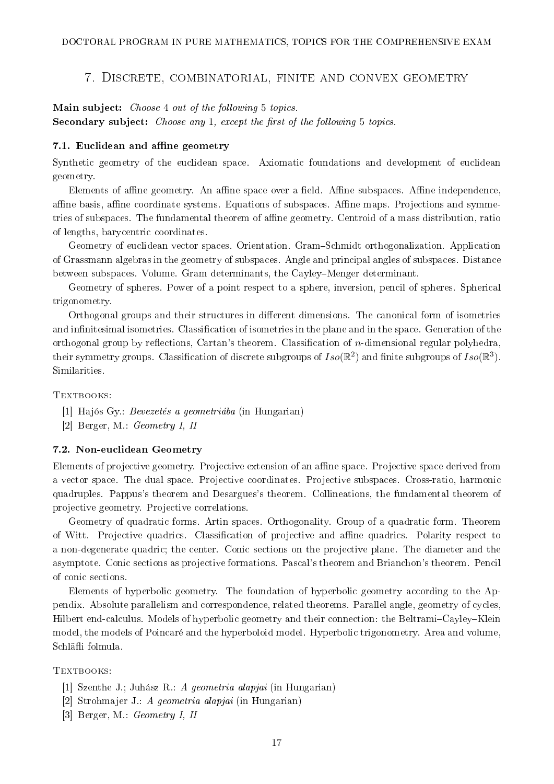#### 7. Discrete, combinatorial, finite and convex geometry

<span id="page-16-0"></span>Main subject: Choose 4 out of the following 5 topics. Secondary subject: Choose any 1, except the first of the following 5 topics.

#### 7.1. Euclidean and affine geometry

Synthetic geometry of the euclidean space. Axiomatic foundations and development of euclidean geometry.

Elements of affine geometry. An affine space over a field. Affine subspaces. Affine independence, affine basis, affine coordinate systems. Equations of subspaces. Affine maps. Projections and symmetries of subspaces. The fundamental theorem of affine geometry. Centroid of a mass distribution, ratio of lengths, barycentric coordinates.

Geometry of euclidean vector spaces. Orientation. Gram–Schmidt orthogonalization. Application of Grassmann algebras in the geometry of subspaces. Angle and principal angles of subspaces. Distance between subspaces. Volume. Gram determinants, the Cayley–Menger determinant.

Geometry of spheres. Power of a point respect to a sphere, inversion, pencil of spheres. Spherical trigonometry.

Orthogonal groups and their structures in different dimensions. The canonical form of isometries and infinitesimal isometries. Classification of isometries in the plane and in the space. Generation of the orthogonal group by reflections, Cartan's theorem. Classification of *n*-dimensional regular polyhedra, their symmetry groups. Classification of discrete subgroups of  $Iso(\mathbb{R}^2)$  and finite subgroups of  $Iso(\mathbb{R}^3)$ . Similarities.

TEXTBOOKS:

- [1] Hajós Gy.: Bevezetés a geometriába (in Hungarian)
- [2] Berger, M.: Geometry I, II

#### 7.2. Non-euclidean Geometry

Elements of projective geometry. Projective extension of an affine space. Projective space derived from a vector space. The dual space. Projective coordinates. Projective subspaces. Cross-ratio, harmonic quadruples. Pappus's theorem and Desargues's theorem. Collineations, the fundamental theorem of projective geometry. Projective correlations.

Geometry of quadratic forms. Artin spaces. Orthogonality. Group of a quadratic form. Theorem of Witt. Projective quadrics. Classification of projective and affine quadrics. Polarity respect to a non-degenerate quadric; the center. Conic sections on the projective plane. The diameter and the asymptote. Conic sections as projective formations. Pascal's theorem and Brianchon's theorem. Pencil of conic sections.

Elements of hyperbolic geometry. The foundation of hyperbolic geometry according to the Appendix. Absolute parallelism and correspondence, related theorems. Parallel angle, geometry of cycles, Hilbert end-calculus. Models of hyperbolic geometry and their connection: the Beltrami–Cayley–Klein model, the models of Poincaré and the hyperboloid model. Hyperbolic trigonometry. Area and volume, Schläfli folmula.

- [1] Szenthe J.; Juhász R.: A geometria alapjai (in Hungarian)
- [2] Strohmajer J.: A geometria alapjai (in Hungarian)
- [3] Berger, M.: Geometry I, II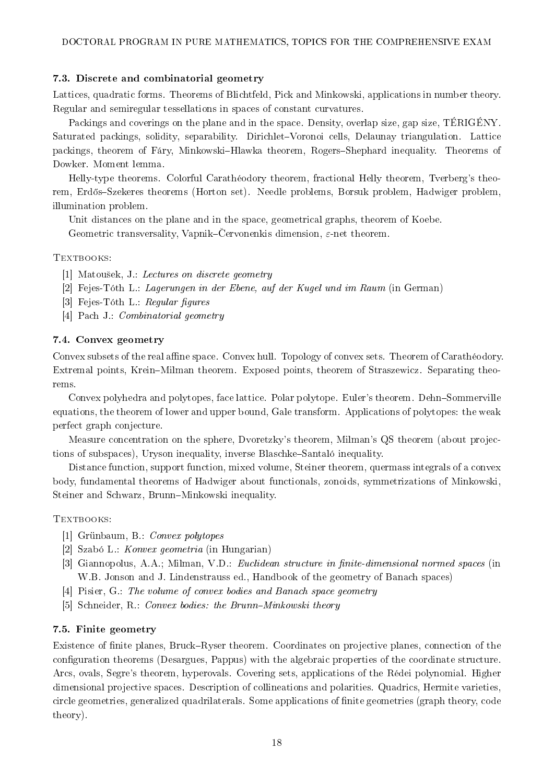### 7.3. Discrete and combinatorial geometry

Lattices, quadratic forms. Theorems of Blichtfeld, Pick and Minkowski, applications in number theory. Regular and semiregular tessellations in spaces of constant curvatures.

Packings and coverings on the plane and in the space. Density, overlap size, gap size, TÉRIGÉNY. Saturated packings, solidity, separability. Dirichlet–Voronoi cells, Delaunay triangulation. Lattice packings, theorem of Fáry, Minkowski-Hlawka theorem, Rogers-Shephard inequality. Theorems of Dowker. Moment lemma.

Helly-type theorems. Colorful Carathéodory theorem, fractional Helly theorem, Tverberg's theorem, Erdős–Szekeres theorems (Horton set). Needle problems, Borsuk problem, Hadwiger problem. illumination problem.

Unit distances on the plane and in the space, geometrical graphs, theorem of Koebe. Geometric transversality, Vapnik–Cervonenkis dimension,  $\varepsilon$ -net theorem.

#### TEXTBOOKS:

- [1] Matousek, J.: Lectures on discrete geometry
- [2] Fejes-Tóth L.: Lagerungen in der Ebene, auf der Kugel und im Raum (in German)
- [3] Fejes-Tóth L.: Regular figures
- [4] Pach J.: Combinatorial geometry

### 7.4. Convex geometry

Convex subsets of the real affine space. Convex hull. Topology of convex sets. Theorem of Carathéodory. Extremal points, Krein–Milman theorem. Exposed points, theorem of Straszewicz. Separating theorems.

Convex polyhedra and polytopes, face lattice. Polar polytope. Euler's theorem. Dehn-Sommerville equations, the theorem of lower and upper bound, Gale transform. Applications of polytopes: the weak perfect graph conjecture.

Measure concentration on the sphere, Dvoretzky's theorem, Milman's QS theorem (about projections of subspaces), Uryson inequality, inverse Blaschke-Santaló inequality.

Distance function, support function, mixed volume, Steiner theorem, quermass integrals of a convex body, fundamental theorems of Hadwiger about functionals, zonoids, symmetrizations of Minkowski, Steiner and Schwarz, Brunn–Minkowski inequality.

#### TEXTBOOKS:

- [1] Grünbaum, B.: Convex polytopes
- [2] Szabó L.: Konvex geometria (in Hungarian)
- [3] Giannopolus, A.A.; Milman, V.D.: Euclidean structure in finite-dimensional normed spaces (in W.B. Jonson and J. Lindenstrauss ed., Handbook of the geometry of Banach spaces)
- [4] Pisier, G.: The volume of convex bodies and Banach space geometry
- [5] Schneider, R.: Convex bodies: the Brunn–Minkowski theory

#### 7.5. Finite geometry

Existence of finite planes, Bruck-Ryser theorem. Coordinates on projective planes, connection of the configuration theorems (Desargues, Pappus) with the algebraic properties of the coordinate structure. Arcs, ovals, Segre's theorem, hyperovals. Covering sets, applications of the Rédei polynomial. Higher dimensional projective spaces. Description of collineations and polarities. Quadrics, Hermite varieties, circle geometries, generalized quadrilaterals. Some applications of nite geometries (graph theory, code theory).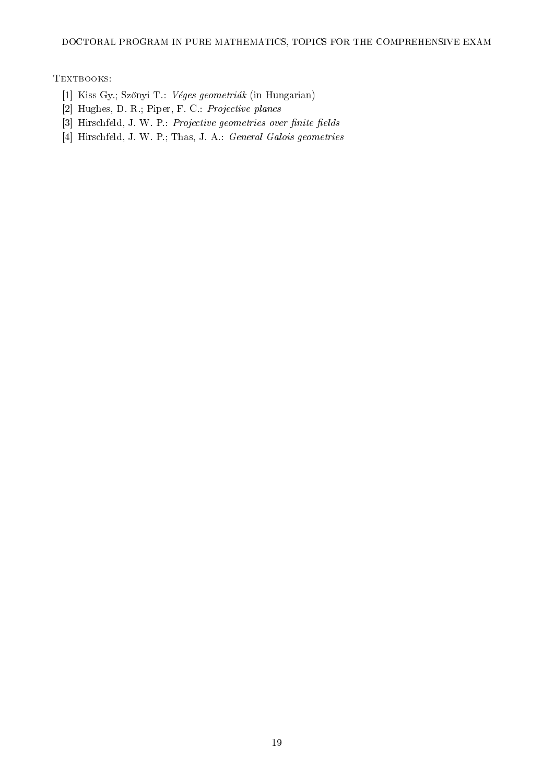#### DOCTORAL PROGRAM IN PURE MATHEMATICS, TOPICS FOR THE COMPREHENSIVE EXAM

- [1] Kiss Gy.; Sz®nyi T.: Véges geometriák (in Hungarian)
- [2] Hughes, D. R.; Piper, F. C.: Projective planes
- $[3]$  Hirschfeld, J. W. P.: Projective geometries over finite fields
- [4] Hirschfeld, J. W. P.; Thas, J. A.: General Galois geometries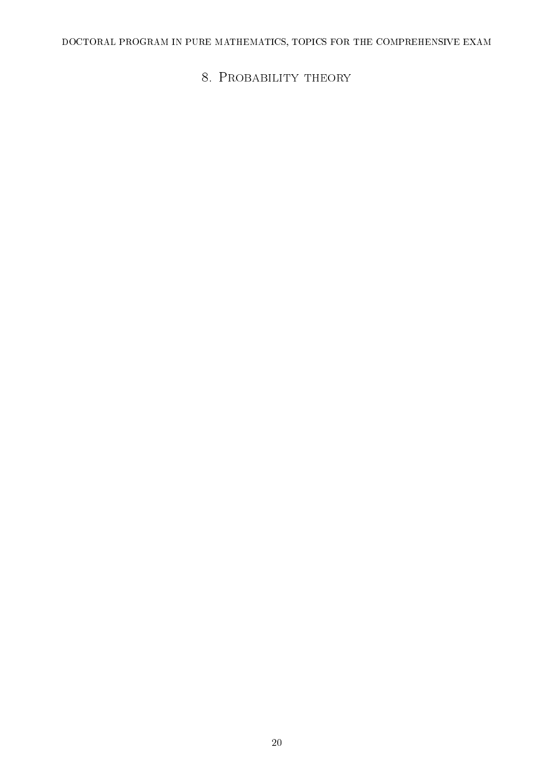# <span id="page-19-0"></span>DOCTORAL PROGRAM IN PURE MATHEMATICS, TOPICS FOR THE COMPREHENSIVE EXAM

8. PROBABILITY THEORY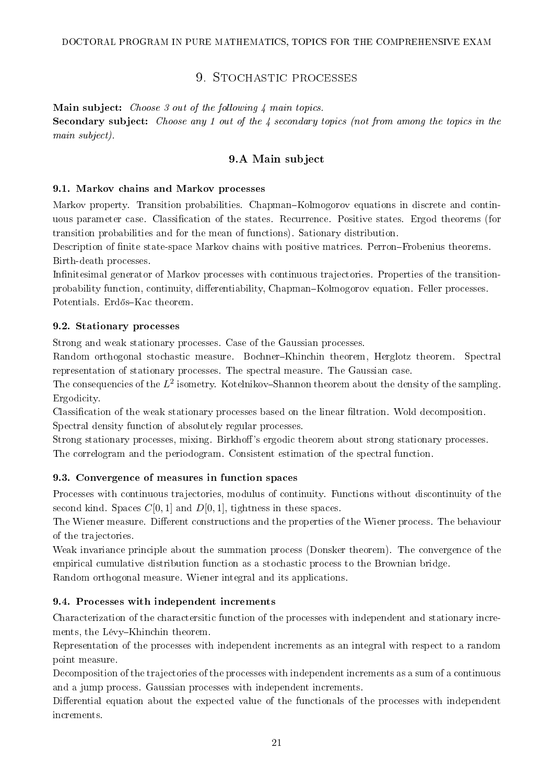# 9. STOCHASTIC PROCESSES

<span id="page-20-0"></span>Main subject: *Choose 3 out of the following 4 main topics*. Secondary subject: Choose any 1 out of the 4 secondary topics (not from among the topics in the main subject).

### 9.A Main subject

### 9.1. Markov chains and Markov processes

Markov property. Transition probabilities. Chapman–Kolmogorov equations in discrete and continuous parameter case. Classification of the states. Recurrence. Positive states. Ergod theorems (for transition probabilities and for the mean of functions). Sationary distribution.

Description of finite state-space Markov chains with positive matrices. Perron–Frobenius theorems. Birth-death processes.

Infinitesimal generator of Markov processes with continuous trajectories. Properties of the transitionprobability function, continuity, differentiability, Chapman-Kolmogorov equation. Feller processes. Potentials. Erdős-Kac theorem.

### 9.2. Stationary processes

Strong and weak stationary processes. Case of the Gaussian processes.

Random orthogonal stochastic measure. Bochner-Khinchin theorem, Herglotz theorem. Spectral representation of stationary processes. The spectral measure. The Gaussian case.

The consequencies of the  $L^2$  isometry. Kotelnikov–Shannon theorem about the density of the sampling. Ergodicity.

Classification of the weak stationary processes based on the linear filtration. Wold decomposition. Spectral density function of absolutely regular processes.

Strong stationary processes, mixing. Birkhoff's ergodic theorem about strong stationary processes. The correlogram and the periodogram. Consistent estimation of the spectral function.

### 9.3. Convergence of measures in function spaces

Processes with continuous trajectories, modulus of continuity. Functions without discontinuity of the second kind. Spaces  $C[0, 1]$  and  $D[0, 1]$ , tightness in these spaces.

The Wiener measure. Different constructions and the properties of the Wiener process. The behaviour of the trajectories.

Weak invariance principle about the summation process (Donsker theorem). The convergence of the empirical cumulative distribution function as a stochastic process to the Brownian bridge. Random orthogonal measure. Wiener integral and its applications.

#### 9.4. Processes with independent increments

Characterization of the charactersitic function of the processes with independent and stationary increments, the Lévy-Khinchin theorem.

Representation of the processes with independent increments as an integral with respect to a random point measure.

Decomposition of the trajectories of the processes with independent increments as a sum of a continuous and a jump process. Gaussian processes with independent increments.

Differential equation about the expected value of the functionals of the processes with independent increments.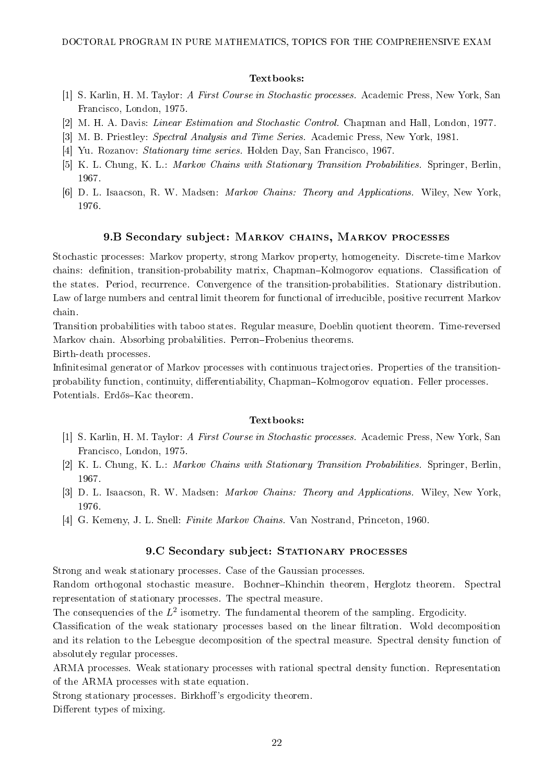#### Textbooks:

- [1] S. Karlin, H. M. Taylor: A First Course in Stochastic processes. Academic Press, New York, San Francisco, London, 1975.
- [2] M. H. A. Davis: Linear Estimation and Stochastic Control. Chapman and Hall, London, 1977.
- [3] M. B. Priestley: Spectral Analysis and Time Series. Academic Press, New York, 1981.
- [4] Yu. Rozanov: Stationary time series. Holden Day, San Francisco, 1967.
- [5] K. L. Chung, K. L.: Markov Chains with Stationary Transition Probabilities. Springer, Berlin, 1967.
- [6] D. L. Isaacson, R. W. Madsen: Markov Chains: Theory and Applications. Wiley, New York, 1976.

#### 9.B Secondary subject: Markov chains, Markov processes

Stochastic processes: Markov property, strong Markov property, homogeneity. Discrete-time Markov chains: definition, transition-probability matrix, Chapman–Kolmogorov equations. Classification of the states. Period, recurrence. Convergence of the transition-probabilities. Stationary distribution. Law of large numbers and central limit theorem for functional of irreducible, positive recurrent Markov chain.

Transition probabilities with taboo states. Regular measure, Doeblin quotient theorem. Time-reversed Markov chain. Absorbing probabilities. Perron-Frobenius theorems.

Birth-death processes.

Infinitesimal generator of Markov processes with continuous trajectories. Properties of the transitionprobability function, continuity, differentiability, Chapman-Kolmogorov equation. Feller processes. Potentials. Erdős-Kac theorem.

#### Textbooks:

- [1] S. Karlin, H. M. Taylor: A First Course in Stochastic processes. Academic Press, New York, San Francisco, London, 1975.
- [2] K. L. Chung, K. L.: Markov Chains with Stationary Transition Probabilities. Springer, Berlin, 1967.
- [3] D. L. Isaacson, R. W. Madsen: Markov Chains: Theory and Applications. Wiley, New York, 1976.
- [4] G. Kemeny, J. L. Snell: Finite Markov Chains. Van Nostrand, Princeton, 1960.

#### 9.C Secondary subject: STATIONARY PROCESSES

Strong and weak stationary processes. Case of the Gaussian processes.

Random orthogonal stochastic measure. Bochner-Khinchin theorem, Herglotz theorem. Spectral representation of stationary processes. The spectral measure.

The consequencies of the  $L^2$  isometry. The fundamental theorem of the sampling. Ergodicity.

Classification of the weak stationary processes based on the linear filtration. Wold decomposition and its relation to the Lebesgue decomposition of the spectral measure. Spectral density function of absolutely regular processes.

ARMA processes. Weak stationary processes with rational spectral density function. Representation of the ARMA processes with state equation.

Strong stationary processes. Birkhoff's ergodicity theorem.

Different types of mixing.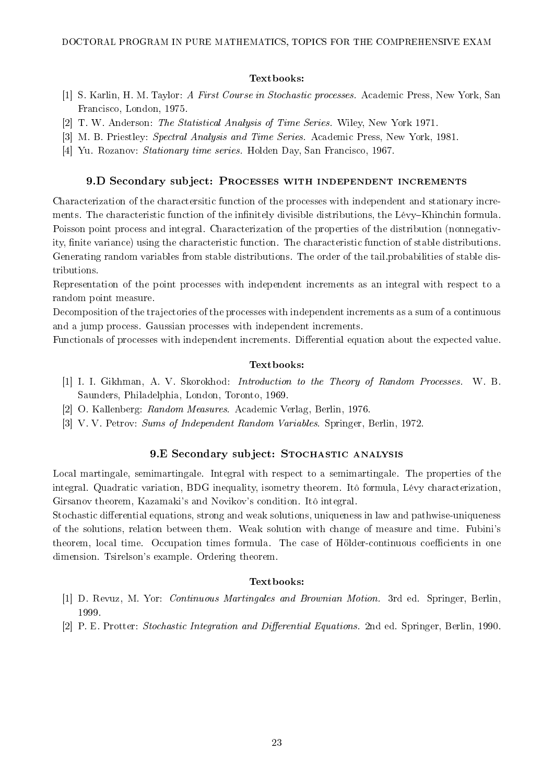#### Textbooks:

- [1] S. Karlin, H. M. Taylor: A First Course in Stochastic processes. Academic Press, New York, San Francisco, London, 1975.
- [2] T. W. Anderson: The Statistical Analysis of Time Series. Wiley, New York 1971.
- [3] M. B. Priestley: Spectral Analysis and Time Series. Academic Press, New York, 1981.
- [4] Yu. Rozanov: Stationary time series. Holden Day, San Francisco, 1967.

#### 9.D Secondary subject: Processes with independent increments

Characterization of the charactersitic function of the processes with independent and stationary increments. The characteristic function of the infinitely divisible distributions, the Lévy–Khinchin formula. Poisson point process and integral. Characterization of the properties of the distribution (nonnegativity, finite variance) using the characteristic function. The characteristic function of stable distributions. Generating random variables from stable distributions. The order of the tail.probabilities of stable distributions.

Representation of the point processes with independent increments as an integral with respect to a random point measure.

Decomposition of the trajectories of the processes with independent increments as a sum of a continuous and a jump process. Gaussian processes with independent increments.

Functionals of processes with independent increments. Differential equation about the expected value.

### Textbooks:

- [1] I. I. Gikhman, A. V. Skorokhod: Introduction to the Theory of Random Processes. W. B. Saunders, Philadelphia, London, Toronto, 1969.
- [2] O. Kallenberg: Random Measures. Academic Verlag, Berlin, 1976.
- [3] V. V. Petrov: Sums of Independent Random Variables. Springer, Berlin, 1972.

### 9.E Secondary subject: STOCHASTIC ANALYSIS

Local martingale, semimartingale. Integral with respect to a semimartingale. The properties of the integral. Quadratic variation, BDG inequality, isometry theorem. Itô formula, Lévy characterization, Girsanov theorem, Kazamaki's and Novikov's condition. Itô integral.

Stochastic differential equations, strong and weak solutions, uniqueness in law and pathwise-uniqueness of the solutions, relation between them. Weak solution with change of measure and time. Fubini's theorem, local time. Occupation times formula. The case of Hölder-continuous coefficients in one dimension. Tsirelson's example. Ordering theorem.

#### Textbooks:

- [1] D. Revuz, M. Yor: Continuous Martingales and Brownian Motion. 3rd ed. Springer, Berlin, 1999.
- [2] P. E. Protter: Stochastic Integration and Differential Equations. 2nd ed. Springer, Berlin, 1990.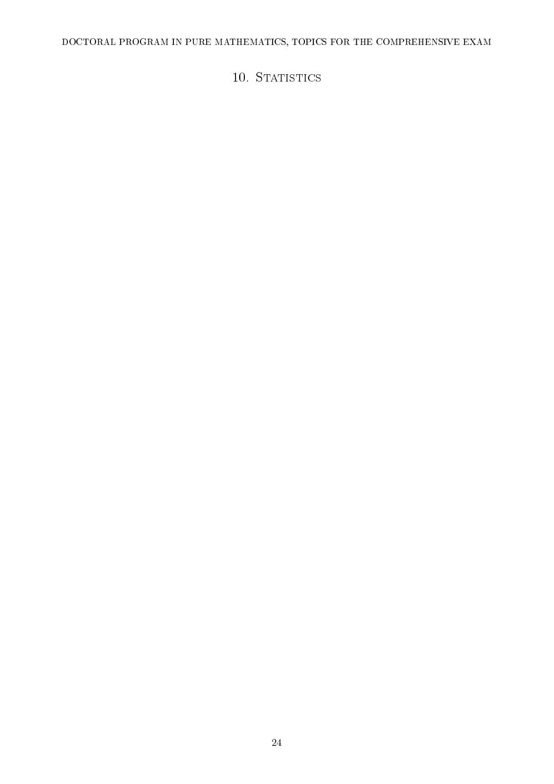<span id="page-23-0"></span>DOCTORAL PROGRAM IN PURE MATHEMATICS, TOPICS FOR THE COMPREHENSIVE EXAM

# 10. STATISTICS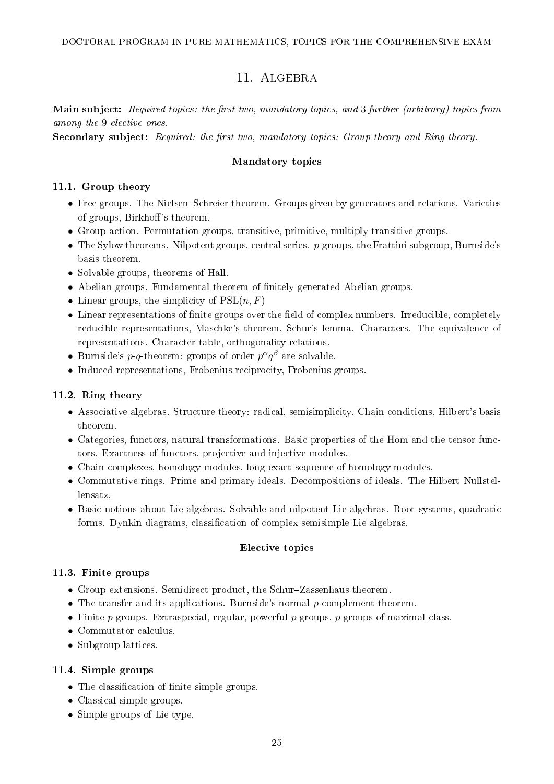# 11. ALGEBRA

<span id="page-24-0"></span>Main subject: Required topics: the first two, mandatory topics, and 3 further (arbitrary) topics from among the 9 elective ones.

Secondary subject: Required: the first two, mandatory topics: Group theory and Ring theory.

### Mandatory topics

### 11.1. Group theory

- Free groups. The Nielsen–Schreier theorem. Groups given by generators and relations. Varieties of groups, Birkhoff's theorem.
- Group action. Permutation groups, transitive, primitive, multiply transitive groups.
- $\bullet$  The Sylow theorems. Nilpotent groups, central series.  $p$ -groups, the Frattini subgroup, Burnside's basis theorem.
- Solvable groups, theorems of Hall.
- Abelian groups. Fundamental theorem of finitely generated Abelian groups.
- Linear groups, the simplicity of  $PSL(n, F)$
- Linear representations of finite groups over the field of complex numbers. Irreducible, completely reducible representations, Maschke's theorem, Schur's lemma. Characters. The equivalence of representations. Character table, orthogonality relations.
- Burnside's  $p$ -q-theorem: groups of order  $p^{\alpha}q^{\beta}$  are solvable.
- Induced representations, Frobenius reciprocity, Frobenius groups.

### 11.2. Ring theory

- Associative algebras. Structure theory: radical, semisimplicity. Chain conditions, Hilbert's basis theorem.
- Categories, functors, natural transformations. Basic properties of the Hom and the tensor functors. Exactness of functors, projective and injective modules.
- Chain complexes, homology modules, long exact sequence of homology modules.
- Commutative rings. Prime and primary ideals. Decompositions of ideals. The Hilbert Nullstellensatz.
- Basic notions about Lie algebras. Solvable and nilpotent Lie algebras. Root systems, quadratic forms. Dynkin diagrams, classification of complex semisimple Lie algebras.

### Elective topics

### 11.3. Finite groups

- Group extensions. Semidirect product, the Schur-Zassenhaus theorem.
- The transfer and its applications. Burnside's normal  $p$ -complement theorem.
- Finite  $p$ -groups. Extraspecial, regular, powerful  $p$ -groups,  $p$ -groups of maximal class.
- Commutator calculus.
- Subgroup lattices.

### 11.4. Simple groups

- The classification of finite simple groups.
- Classical simple groups.
- Simple groups of Lie type.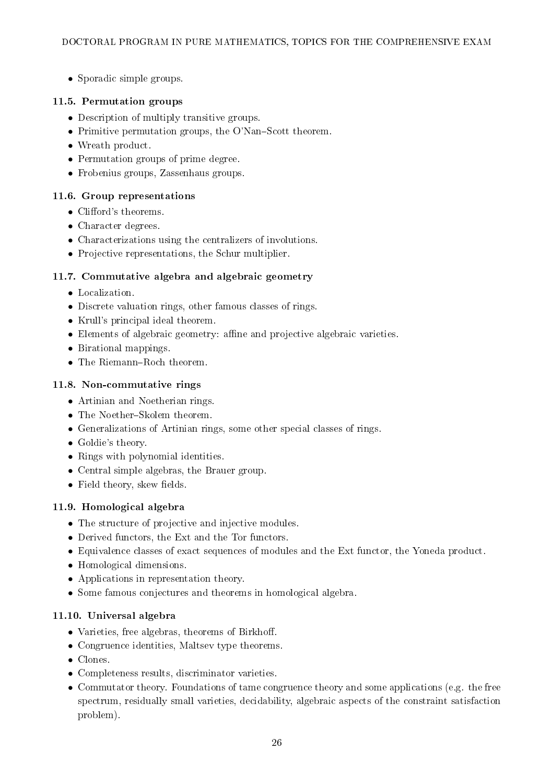• Sporadic simple groups.

# 11.5. Permutation groups

- Description of multiply transitive groups.
- Primitive permutation groups, the O'Nan-Scott theorem.
- Wreath product.
- Permutation groups of prime degree.
- Frobenius groups, Zassenhaus groups.

# 11.6. Group representations

- $\bullet$  Clifford's theorems.
- Character degrees.
- Characterizations using the centralizers of involutions.
- Projective representations, the Schur multiplier.

# 11.7. Commutative algebra and algebraic geometry

- Localization.
- Discrete valuation rings, other famous classes of rings.
- Krull's principal ideal theorem.
- $\bullet$  Elements of algebraic geometry: affine and projective algebraic varieties.
- Birational mappings.
- $\bullet$  The Riemann-Roch theorem.

# 11.8. Non-commutative rings

- Artinian and Noetherian rings.
- $\bullet$  The Noether-Skolem theorem.
- Generalizations of Artinian rings, some other special classes of rings.
- Goldie's theory.
- Rings with polynomial identities.
- Central simple algebras, the Brauer group.
- $\bullet$  Field theory, skew fields.

# 11.9. Homological algebra

- The structure of projective and injective modules.
- Derived functors, the Ext and the Tor functors.
- Equivalence classes of exact sequences of modules and the Ext functor, the Yoneda product.
- Homological dimensions.
- Applications in representation theory.
- Some famous conjectures and theorems in homological algebra.

# 11.10. Universal algebra

- Varieties, free algebras, theorems of Birkhoff.
- Congruence identities, Maltsev type theorems.
- Clones.
- Completeness results, discriminator varieties.
- Commutator theory. Foundations of tame congruence theory and some applications (e.g. the free spectrum, residually small varieties, decidability, algebraic aspects of the constraint satisfaction problem).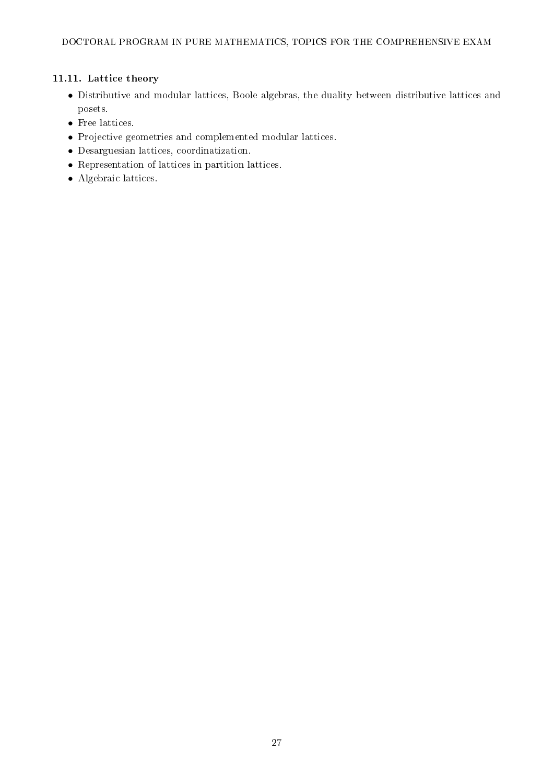# 11.11. Lattice theory

- Distributive and modular lattices, Boole algebras, the duality between distributive lattices and posets.
- Free lattices.
- Projective geometries and complemented modular lattices.
- Desarguesian lattices, coordinatization.
- Representation of lattices in partition lattices.
- Algebraic lattices.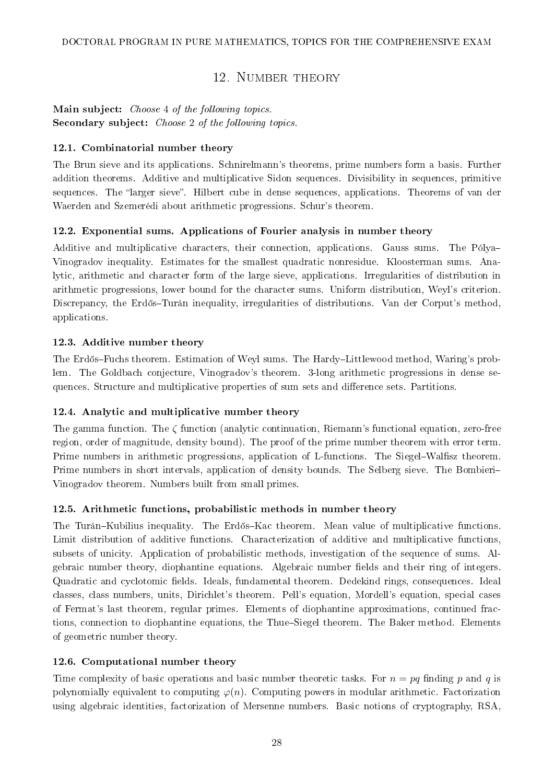# 12. NUMBER THEORY

# <span id="page-27-0"></span>Main subject: Choose 4 of the following topics. Secondary subject: Choose 2 of the following topics.

### 12.1. Combinatorial number theory

The Brun sieve and its applications. Schnirelmann's theorems, prime numbers form a basis. Further addition theorems. Additive and multiplicative Sidon sequences. Divisibility in sequences, primitive sequences. The "larger sieve". Hilbert cube in dense sequences, applications. Theorems of van der Waerden and Szemerédi about arithmetic progressions. Schur's theorem.

### 12.2. Exponential sums. Applications of Fourier analysis in number theory

Additive and multiplicative characters, their connection, applications. Gauss sums. The Pólya Vinogradov inequality. Estimates for the smallest quadratic nonresidue. Kloosterman sums. Analytic, arithmetic and character form of the large sieve, applications. Irregularities of distribution in arithmetic progressions, lower bound for the character sums. Uniform distribution, Weyl's criterion. Discrepancy, the Erdős-Turán inequality, irregularities of distributions. Van der Corput's method, applications.

### 12.3. Additive number theory

The Erdős-Fuchs theorem. Estimation of Weyl sums. The Hardy-Littlewood method, Waring's problem. The Goldbach conjecture, Vinogradov's theorem. 3-long arithmetic progressions in dense sequences. Structure and multiplicative properties of sum sets and difference sets. Partitions.

### 12.4. Analytic and multiplicative number theory

The gamma function. The ζ function (analytic continuation, Riemann's functional equation, zero-free region, order of magnitude, density bound). The proof of the prime number theorem with error term. Prime numbers in arithmetic progressions, application of L-functions. The Siegel–Walfisz theorem. Prime numbers in short intervals, application of density bounds. The Selberg sieve. The Bombieri Vinogradov theorem. Numbers built from small primes.

### 12.5. Arithmetic functions, probabilistic methods in number theory

The Turán-Kubilius inequality. The Erdős-Kac theorem. Mean value of multiplicative functions. Limit distribution of additive functions. Characterization of additive and multiplicative functions, subsets of unicity. Application of probabilistic methods, investigation of the sequence of sums. Algebraic number theory, diophantine equations. Algebraic number fields and their ring of integers. Quadratic and cyclotomic fields. Ideals, fundamental theorem. Dedekind rings, consequences. Ideal classes, class numbers, units, Dirichlet's theorem. Pell's equation, Mordell's equation, special cases of Fermat's last theorem, regular primes. Elements of diophantine approximations, continued fractions, connection to diophantine equations, the Thue–Siegel theorem. The Baker method. Elements of geometric number theory.

### 12.6. Computational number theory

Time complexity of basic operations and basic number theoretic tasks. For  $n = pa$  finding p and q is polynomially equivalent to computing  $\varphi(n)$ . Computing powers in modular arithmetic. Factorization using algebraic identities, factorization of Mersenne numbers. Basic notions of cryptography, RSA,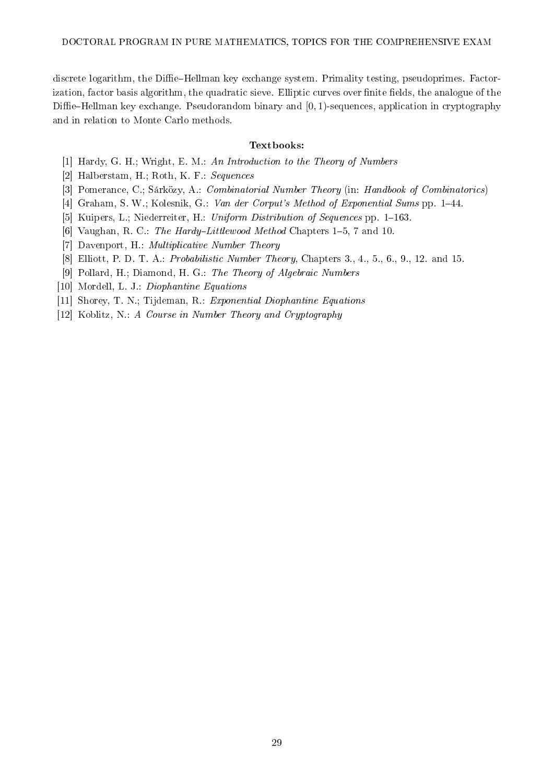discrete logarithm, the Diffie-Hellman key exchange system. Primality testing, pseudoprimes. Factorization, factor basis algorithm, the quadratic sieve. Elliptic curves over finite fields, the analogue of the Diffie–Hellman key exchange. Pseudorandom binary and  $[0, 1)$ -sequences, application in cryptography and in relation to Monte Carlo methods.

#### Textbooks:

- [1] Hardy, G. H.; Wright, E. M.: An Introduction to the Theory of Numbers
- [2] Halberstam, H.; Roth, K. F.: Sequences
- [3] Pomerance, C.; Sárközy, A.: Combinatorial Number Theory (in: Handbook of Combinatorics)
- [4] Graham, S. W.; Kolesnik, G.: Van der Corput's Method of Exponential Sums pp. 1–44.
- [5] Kuipers, L.; Niederreiter, H.: Uniform Distribution of Sequences pp.  $1-163$ .
- [6] Vaughan, R. C.: The Hardy-Littlewood Method Chapters  $1-5$ , 7 and 10.
- [7] Davenport, H.: Multiplicative Number Theory
- [8] Elliott, P. D. T. A.: *Probabilistic Number Theory*, Chapters 3., 4., 5., 6., 9., 12. and 15.
- [9] Pollard, H.; Diamond, H. G.: The Theory of Algebraic Numbers
- [10] Mordell, L. J.: Diophantine Equations
- [11] Shorey, T. N.; Tijdeman, R.: Exponential Diophantine Equations
- [12] Koblitz, N.: A Course in Number Theory and Cryptography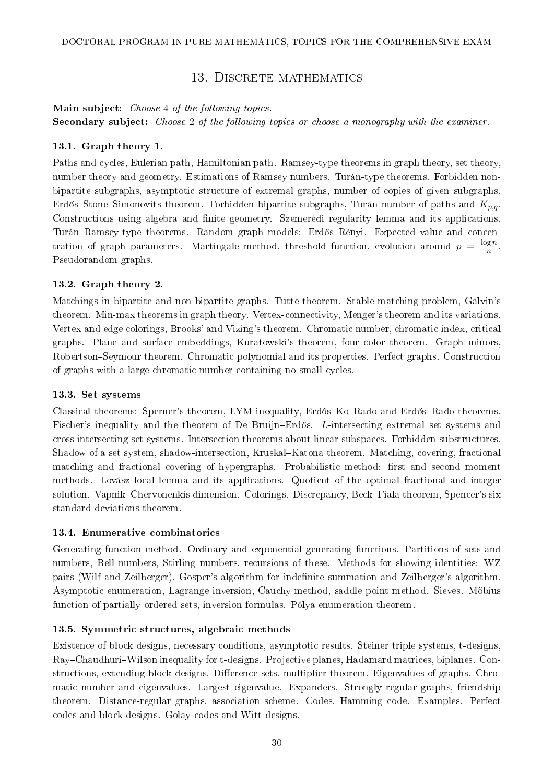## 13. DISCRETE MATHEMATICS

<span id="page-29-0"></span>Main subject: Choose 4 of the following topics. Secondary subject: Choose 2 of the following topics or choose a monography with the examiner.

### 13.1. Graph theory 1.

Paths and cycles, Eulerian path, Hamiltonian path. Ramsey-type theorems in graph theory, set theory, number theory and geometry. Estimations of Ramsey numbers. Turán-type theorems. Forbidden nonbipartite subgraphs, asymptotic structure of extremal graphs, number of copies of given subgraphs. Erdős–Stone–Simonovits theorem. Forbidden bipartite subgraphs, Turán number of paths and  $K_{p,q}$ . Constructions using algebra and finite geometry. Szemerédi regularity lemma and its applications. Turán-Ramsey-type theorems. Random graph models: Erdős-Rényi. Expected value and concentration of graph parameters. Martingale method, threshold function, evolution around  $p = \frac{\log n}{n}$  $\frac{\log n}{n}$  . Pseudorandom graphs.

### 13.2. Graph theory 2.

Matchings in bipartite and non-bipartite graphs. Tutte theorem. Stable matching problem, Galvin's theorem. Min-max theorems in graph theory. Vertex-connectivity, Menger's theorem and its variations. Vertex and edge colorings, Brooks' and Vizing's theorem. Chromatic number, chromatic index, critical graphs. Plane and surface embeddings, Kuratowski's theorem, four color theorem. Graph minors, Robertson–Seymour theorem. Chromatic polynomial and its properties. Perfect graphs. Construction of graphs with a large chromatic number containing no small cycles.

#### 13.3. Set systems

Classical theorems: Sperner's theorem, LYM inequality, Erdős–Ko–Rado and Erdős–Rado theorems. Fischer's inequality and the theorem of De Bruijn–Erdős. L-intersecting extremal set systems and cross-intersecting set systems. Intersection theorems about linear subspaces. Forbidden substructures. Shadow of a set system, shadow-intersection, Kruskal-Katona theorem. Matching, covering, fractional matching and fractional covering of hypergraphs. Probabilistic method: first and second moment methods. Lovász local lemma and its applications. Quotient of the optimal fractional and integer solution. Vapnik–Chervonenkis dimension. Colorings. Discrepancy, Beck–Fiala theorem, Spencer's six standard deviations theorem.

#### 13.4. Enumerative combinatorics

Generating function method. Ordinary and exponential generating functions. Partitions of sets and numbers, Bell numbers, Stirling numbers, recursions of these. Methods for showing identities: WZ pairs (Wilf and Zeilberger), Gosper's algorithm for indenite summation and Zeilberger's algorithm. Asymptotic enumeration, Lagrange inversion, Cauchy method, saddle point method. Sieves. Möbius function of partially ordered sets, inversion formulas. Pólya enumeration theorem.

### 13.5. Symmetric structures, algebraic methods

Existence of block designs, necessary conditions, asymptotic results. Steiner triple systems, t-designs, Ray–Chaudhuri–Wilson inequality for t-designs. Projective planes, Hadamard matrices, biplanes. Constructions, extending block designs. Difference sets, multiplier theorem. Eigenvalues of graphs. Chromatic number and eigenvalues. Largest eigenvalue. Expanders. Strongly regular graphs, friendship theorem. Distance-regular graphs, association scheme. Codes, Hamming code. Examples. Perfect codes and block designs. Golay codes and Witt designs.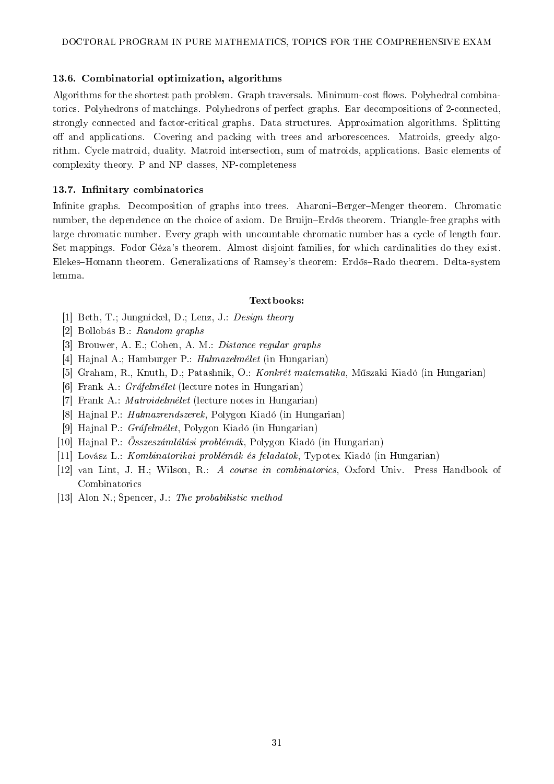### 13.6. Combinatorial optimization, algorithms

Algorithms for the shortest path problem. Graph traversals. Minimum-cost flows. Polyhedral combinatorics. Polyhedrons of matchings. Polyhedrons of perfect graphs. Ear decompositions of 2-connected, strongly connected and factor-critical graphs. Data structures. Approximation algorithms. Splitting off and applications. Covering and packing with trees and arborescences. Matroids, greedy algorithm. Cycle matroid, duality. Matroid intersection, sum of matroids, applications. Basic elements of complexity theory. P and NP classes, NP-completeness

### 13.7. Infinitary combinatorics

Infinite graphs. Decomposition of graphs into trees. Aharoni-Berger-Menger theorem. Chromatic number, the dependence on the choice of axiom. De Bruijn–Erdős theorem. Triangle-free graphs with large chromatic number. Every graph with uncountable chromatic number has a cycle of length four. Set mappings. Fodor Géza's theorem. Almost disjoint families, for which cardinalities do they exist. Elekes–Homann theorem. Generalizations of Ramsey's theorem: Erdős–Rado theorem. Delta-system lemma.

#### Textbooks:

- [1] Beth, T.; Jungnickel, D.; Lenz, J.: Design theory
- [2] Bollobás B.: Random graphs
- [3] Brouwer, A. E.; Cohen, A. M.: Distance regular graphs
- [4] Hajnal A.; Hamburger P.: Halmazelmélet (in Hungarian)
- [5] Graham, R., Knuth, D.; Patashnik, O.: Konkrét matematika, M¶szaki Kiadó (in Hungarian)
- [6] Frank A.:  $Gráfelmélet$  (lecture notes in Hungarian)
- [7] Frank A.: Matroidelmélet (lecture notes in Hungarian)
- [8] Hajnal P.: Halmazrendszerek, Polygon Kiadó (in Hungarian)
- [9] Hajnal P.: Gráfelmélet, Polygon Kiadó (in Hungarian)
- [10] Hajnal P.: Összeszámlálási problémák, Polygon Kiadó (in Hungarian)
- [11] Lovász L.: Kombinatorikai problémák és feladatok, Typotex Kiadó (in Hungarian)
- [12] van Lint, J. H.; Wilson, R.: A course in combinatorics, Oxford Univ. Press Handbook of Combinatorics
- [13] Alon N.; Spencer, J.: The probabilistic method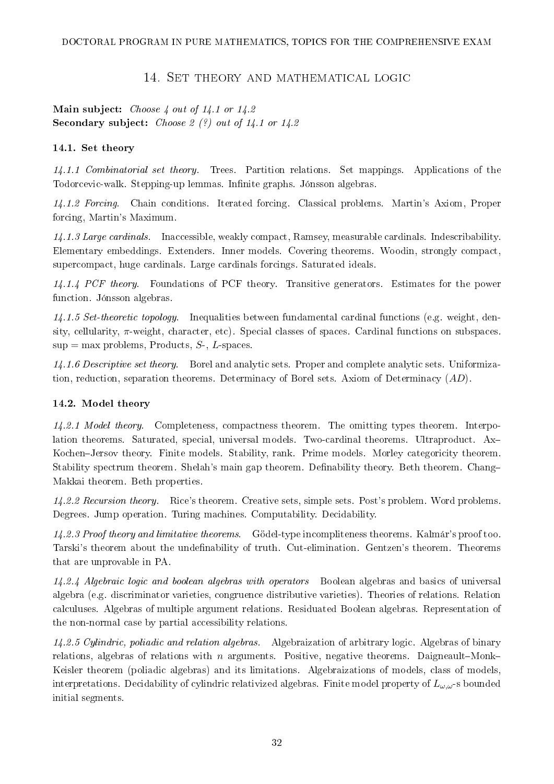### 14. Set theory and mathematical logic

<span id="page-31-0"></span>Main subject: *Choose 4 out of 14.1 or 14.2* Secondary subject: Choose  $2$  (?) out of 14.1 or 14.2

### 14.1. Set theory

14.1.1 Combinatorial set theory. Trees. Partition relations. Set mappings. Applications of the Todorcevic-walk. Stepping-up lemmas. Infinite graphs. Jónsson algebras.

14.1.2 Forcing. Chain conditions. Iterated forcing. Classical problems. Martin's Axiom, Proper forcing, Martin's Maximum.

14.1.3 Large cardinals. Inaccessible, weakly compact, Ramsey, measurable cardinals. Indescribability. Elementary embeddings. Extenders. Inner models. Covering theorems. Woodin, strongly compact, supercompact, huge cardinals. Large cardinals forcings. Saturated ideals.

14.1.4 PCF theory. Foundations of PCF theory. Transitive generators. Estimates for the power function. Jónsson algebras.

14.1.5 Set-theoretic topology. Inequalities between fundamental cardinal functions (e.g. weight, density, cellularity,  $\pi$ -weight, character, etc). Special classes of spaces. Cardinal functions on subspaces.  $sup = max$  problems, Products, S-, L-spaces.

14.1.6 Descriptive set theory. Borel and analytic sets. Proper and complete analytic sets. Uniformization, reduction, separation theorems. Determinacy of Borel sets. Axiom of Determinacy (AD).

### 14.2. Model theory

14.2.1 Model theory. Completeness, compactness theorem. The omitting types theorem. Interpolation theorems. Saturated, special, universal models. Two-cardinal theorems. Ultraproduct. Ax Kochen-Jersov theory. Finite models. Stability, rank. Prime models. Morley categoricity theorem. Stability spectrum theorem. Shelah's main gap theorem. Definability theory. Beth theorem. Chang-Makkai theorem. Beth properties.

14.2.2 Recursion theory. Rice's theorem. Creative sets, simple sets. Post's problem. Word problems. Degrees. Jump operation. Turing machines. Computability. Decidability.

14.2.3 Proof theory and limitative theorems. Gödel-type incompliteness theorems. Kalmár's proof too. Tarski's theorem about the undefinability of truth. Cut-elimination. Gentzen's theorem. Theorems that are unprovable in PA.

14.2.4 Algebraic logic and boolean algebras with operators Boolean algebras and basics of universal algebra (e.g. discriminator varieties, congruence distributive varieties). Theories of relations. Relation calculuses. Algebras of multiple argument relations. Residuated Boolean algebras. Representation of the non-normal case by partial accessibility relations.

14.2.5 Cylindric, poliadic and relation algebras. Algebraization of arbitrary logic. Algebras of binary relations, algebras of relations with  $n$  arguments. Positive, negative theorems. Daigneault-Monk-Keisler theorem (poliadic algebras) and its limitations. Algebraizations of models, class of models, interpretations. Decidability of cylindric relativized algebras. Finite model property of  $L_{\omega,\omega}$ -s bounded initial segments.